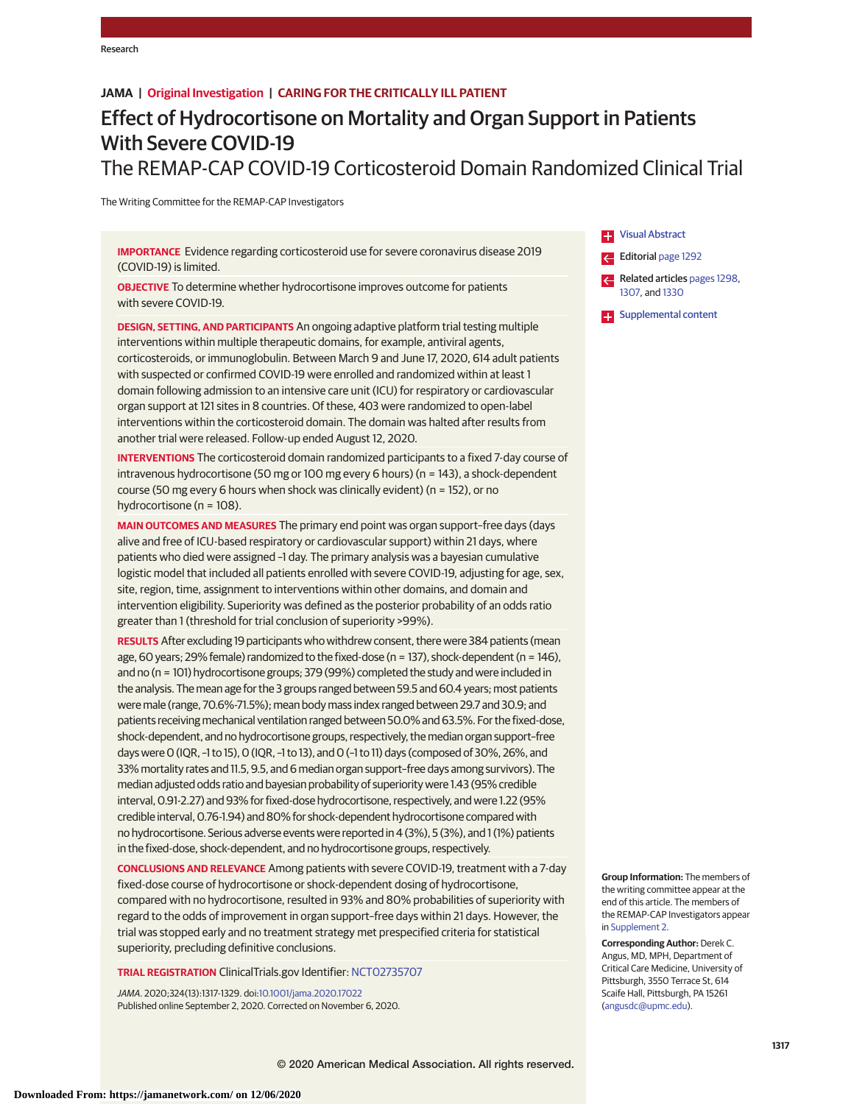# **JAMA | Original Investigation | CARING FOR THE CRITICALLY ILL PATIENT**

# Effect of Hydrocortisone on Mortality and Organ Support in Patients With Severe COVID-19 The REMAP-CAP COVID-19 Corticosteroid Domain Randomized Clinical Trial

The Writing Committee for the REMAP-CAP Investigators

**IMPORTANCE** Evidence regarding corticosteroid use for severe coronavirus disease 2019 (COVID-19) is limited.

**OBJECTIVE** To determine whether hydrocortisone improves outcome for patients with severe COVID-19.

**DESIGN, SETTING, AND PARTICIPANTS** An ongoing adaptive platform trial testing multiple interventions within multiple therapeutic domains, for example, antiviral agents, corticosteroids, or immunoglobulin. Between March 9 and June 17, 2020, 614 adult patients with suspected or confirmed COVID-19 were enrolled and randomized within at least 1 domain following admission to an intensive care unit (ICU) for respiratory or cardiovascular organ support at 121 sites in 8 countries. Of these, 403 were randomized to open-label interventions within the corticosteroid domain. The domain was halted after results from another trial were released. Follow-up ended August 12, 2020.

**INTERVENTIONS** The corticosteroid domain randomized participants to a fixed 7-day course of intravenous hydrocortisone (50 mg or 100 mg every 6 hours) (n = 143), a shock-dependent course (50 mg every 6 hours when shock was clinically evident) (n = 152), or no hydrocortisone (n = 108).

**MAIN OUTCOMES AND MEASURES** The primary end point was organ support–free days (days alive and free of ICU-based respiratory or cardiovascular support) within 21 days, where patients who died were assigned –1 day. The primary analysis was a bayesian cumulative logistic model that included all patients enrolled with severe COVID-19, adjusting for age, sex, site, region, time, assignment to interventions within other domains, and domain and intervention eligibility. Superiority was defined as the posterior probability of an odds ratio greater than 1 (threshold for trial conclusion of superiority >99%).

**RESULTS** After excluding 19 participants who withdrew consent, there were 384 patients (mean age, 60 years; 29% female) randomized to the fixed-dose (n = 137), shock-dependent (n = 146), and no (n = 101) hydrocortisone groups; 379 (99%) completed the study and were included in the analysis. The mean age for the 3 groups ranged between 59.5 and 60.4 years; most patients were male (range, 70.6%-71.5%); mean body mass index ranged between 29.7 and 30.9; and patients receiving mechanical ventilation ranged between 50.0% and 63.5%. For the fixed-dose, shock-dependent, and no hydrocortisone groups, respectively, the median organ support–free days were 0 (IQR, –1 to 15), 0 (IQR, –1 to 13), and 0 (–1 to 11) days (composed of 30%, 26%, and 33% mortality rates and 11.5, 9.5, and 6 median organ support–free days among survivors). The median adjusted odds ratio and bayesian probability of superiority were 1.43 (95% credible interval, 0.91-2.27) and 93% for fixed-dose hydrocortisone, respectively, and were 1.22 (95% credible interval, 0.76-1.94) and 80% for shock-dependent hydrocortisone compared with no hydrocortisone. Serious adverse events were reported in 4 (3%), 5 (3%), and 1 (1%) patients in the fixed-dose, shock-dependent, and no hydrocortisone groups, respectively.

**CONCLUSIONS AND RELEVANCE** Among patients with severe COVID-19, treatment with a 7-day fixed-dose course of hydrocortisone or shock-dependent dosing of hydrocortisone, compared with no hydrocortisone, resulted in 93% and 80% probabilities of superiority with regard to the odds of improvement in organ support–free days within 21 days. However, the trial was stopped early and no treatment strategy met prespecified criteria for statistical superiority, precluding definitive conclusions.

**TRIAL REGISTRATION** ClinicalTrials.gov Identifier: [NCT02735707](https://clinicaltrials.gov/ct2/show/NCT02735707)

JAMA. 2020;324(13):1317-1329. doi[:10.1001/jama.2020.17022](https://jamanetwork.com/journals/jama/fullarticle/10.1001/jama.2020.17022?utm_campaign=articlePDF%26utm_medium=articlePDFlink%26utm_source=articlePDF%26utm_content=jama.2020.17022) Published online September 2, 2020. Corrected on November 6, 2020.



**Group Information:** The members of the writing committee appear at the end of this article. The members of the REMAP-CAP Investigators appear in [Supplement 2.](https://jamanetwork.com/journals/jama/fullarticle/10.1001/jama.2020.17022?utm_campaign=articlePDF%26utm_medium=articlePDFlink%26utm_source=articlePDF%26utm_content=jama.2020.17022)

**Corresponding Author:** Derek C. Angus, MD, MPH, Department of Critical Care Medicine, University of Pittsburgh, 3550 Terrace St, 614 Scaife Hall, Pittsburgh, PA 15261 [\(angusdc@upmc.edu\)](mailto:angusdc@upmc.edu).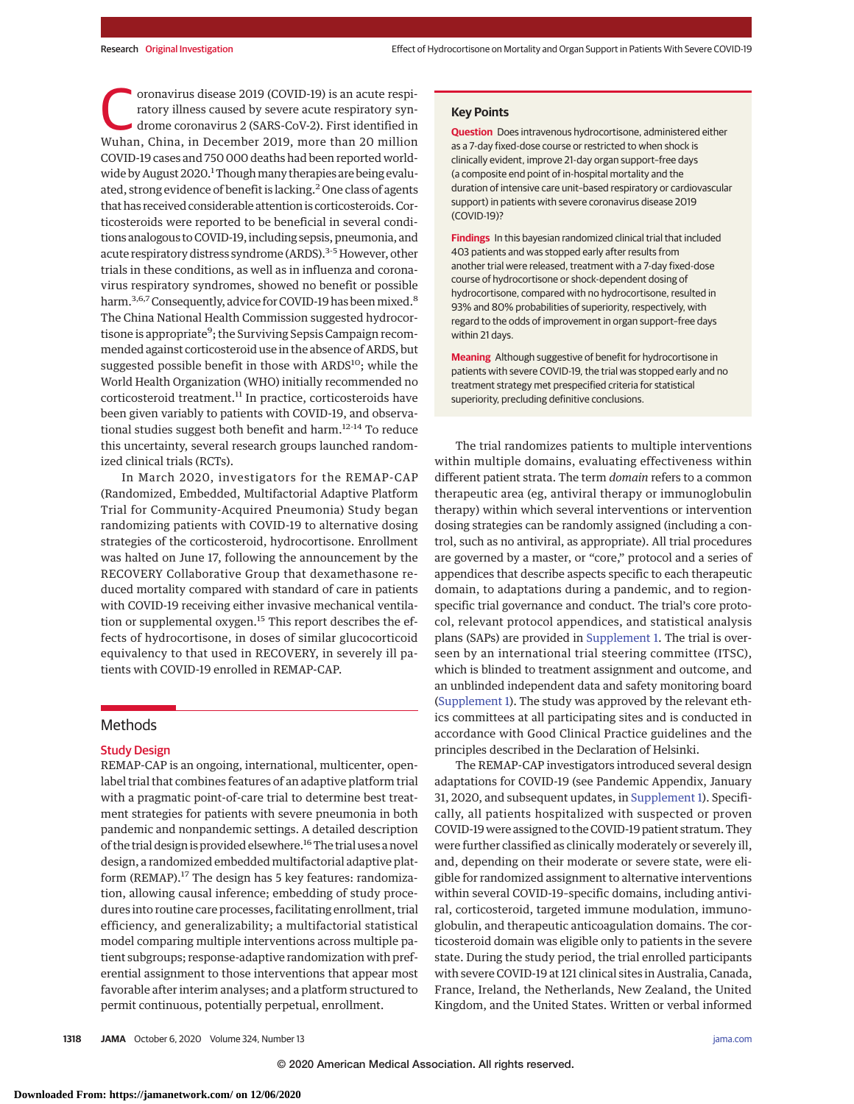oronavirus disease 2019 (COVID-19) is an acute respiratory illness caused by severe acute respiratory syndrome coronavirus 2 (SARS-CoV-2). First identified in Wuhan, China, in December 2019, more than 20 million COVID-19 cases and 750 000 deaths had been reported worldwide by August 2020.<sup>1</sup> Though many therapies are being evaluated, strong evidence of benefit is lacking.<sup>2</sup> One class of agents that has received considerable attention is corticosteroids. Corticosteroids were reported to be beneficial in several conditions analogous to COVID-19, including sepsis, pneumonia, and acute respiratory distress syndrome (ARDS).<sup>3-5</sup> However, other trials in these conditions, as well as in influenza and coronavirus respiratory syndromes, showed no benefit or possible harm.<sup>3,6,7</sup> Consequently, advice for COVID-19 has been mixed.<sup>8</sup> The China National Health Commission suggested hydrocortisone is appropriate<sup>9</sup>; the Surviving Sepsis Campaign recommended against corticosteroid use in the absence of ARDS, but suggested possible benefit in those with ARDS<sup>10</sup>; while the World Health Organization (WHO) initially recommended no corticosteroid treatment.<sup>11</sup> In practice, corticosteroids have been given variably to patients with COVID-19, and observational studies suggest both benefit and harm.<sup>12-14</sup> To reduce this uncertainty, several research groups launched randomized clinical trials (RCTs).

In March 2020, investigators for the REMAP-CAP (Randomized, Embedded, Multifactorial Adaptive Platform Trial for Community-Acquired Pneumonia) Study began randomizing patients with COVID-19 to alternative dosing strategies of the corticosteroid, hydrocortisone. Enrollment was halted on June 17, following the announcement by the RECOVERY Collaborative Group that dexamethasone reduced mortality compared with standard of care in patients with COVID-19 receiving either invasive mechanical ventilation or supplemental oxygen.<sup>15</sup> This report describes the effects of hydrocortisone, in doses of similar glucocorticoid equivalency to that used in RECOVERY, in severely ill patients with COVID-19 enrolled in REMAP-CAP.

# Methods

### Study Design

REMAP-CAP is an ongoing, international, multicenter, openlabel trial that combines features of an adaptive platform trial with a pragmatic point-of-care trial to determine best treatment strategies for patients with severe pneumonia in both pandemic and nonpandemic settings. A detailed description of the trial design is provided elsewhere.<sup>16</sup> The trial uses a novel design, a randomized embedded multifactorial adaptive platform (REMAP).<sup>17</sup> The design has 5 key features: randomization, allowing causal inference; embedding of study procedures into routine care processes, facilitating enrollment, trial efficiency, and generalizability; a multifactorial statistical model comparing multiple interventions across multiple patient subgroups; response-adaptive randomization with preferential assignment to those interventions that appear most favorable after interim analyses; and a platform structured to permit continuous, potentially perpetual, enrollment.

### **Key Points**

**Question** Does intravenous hydrocortisone, administered either as a 7-day fixed-dose course or restricted to when shock is clinically evident, improve 21-day organ support–free days (a composite end point of in-hospital mortality and the duration of intensive care unit–based respiratory or cardiovascular support) in patients with severe coronavirus disease 2019 (COVID-19)?

**Findings** In this bayesian randomized clinical trial that included 403 patients and was stopped early after results from another trial were released, treatment with a 7-day fixed-dose course of hydrocortisone or shock-dependent dosing of hydrocortisone, compared with no hydrocortisone, resulted in 93% and 80% probabilities of superiority, respectively, with regard to the odds of improvement in organ support–free days within 21 days.

**Meaning** Although suggestive of benefit for hydrocortisone in patients with severe COVID-19, the trial was stopped early and no treatment strategy met prespecified criteria for statistical superiority, precluding definitive conclusions.

The trial randomizes patients to multiple interventions within multiple domains, evaluating effectiveness within different patient strata. The term *domain* refers to a common therapeutic area (eg, antiviral therapy or immunoglobulin therapy) within which several interventions or intervention dosing strategies can be randomly assigned (including a control, such as no antiviral, as appropriate). All trial procedures are governed by a master, or "core," protocol and a series of appendices that describe aspects specific to each therapeutic domain, to adaptations during a pandemic, and to regionspecific trial governance and conduct. The trial's core protocol, relevant protocol appendices, and statistical analysis plans (SAPs) are provided in [Supplement 1.](https://jamanetwork.com/journals/jama/fullarticle/10.1001/jama.2020.17022?utm_campaign=articlePDF%26utm_medium=articlePDFlink%26utm_source=articlePDF%26utm_content=jama.2020.17022) The trial is overseen by an international trial steering committee (ITSC), which is blinded to treatment assignment and outcome, and an unblinded independent data and safety monitoring board [\(Supplement 1\)](https://jamanetwork.com/journals/jama/fullarticle/10.1001/jama.2020.17022?utm_campaign=articlePDF%26utm_medium=articlePDFlink%26utm_source=articlePDF%26utm_content=jama.2020.17022). The study was approved by the relevant ethics committees at all participating sites and is conducted in accordance with Good Clinical Practice guidelines and the principles described in the Declaration of Helsinki.

The REMAP-CAP investigators introduced several design adaptations for COVID-19 (see Pandemic Appendix, January 31, 2020, and subsequent updates, in [Supplement 1\)](https://jamanetwork.com/journals/jama/fullarticle/10.1001/jama.2020.17022?utm_campaign=articlePDF%26utm_medium=articlePDFlink%26utm_source=articlePDF%26utm_content=jama.2020.17022). Specifically, all patients hospitalized with suspected or proven COVID-19 were assigned to the COVID-19 patient stratum. They were further classified as clinically moderately or severely ill, and, depending on their moderate or severe state, were eligible for randomized assignment to alternative interventions within several COVID-19–specific domains, including antiviral, corticosteroid, targeted immune modulation, immunoglobulin, and therapeutic anticoagulation domains. The corticosteroid domain was eligible only to patients in the severe state. During the study period, the trial enrolled participants with severe COVID-19 at 121 clinical sites in Australia, Canada, France, Ireland, the Netherlands, New Zealand, the United Kingdom, and the United States. Written or verbal informed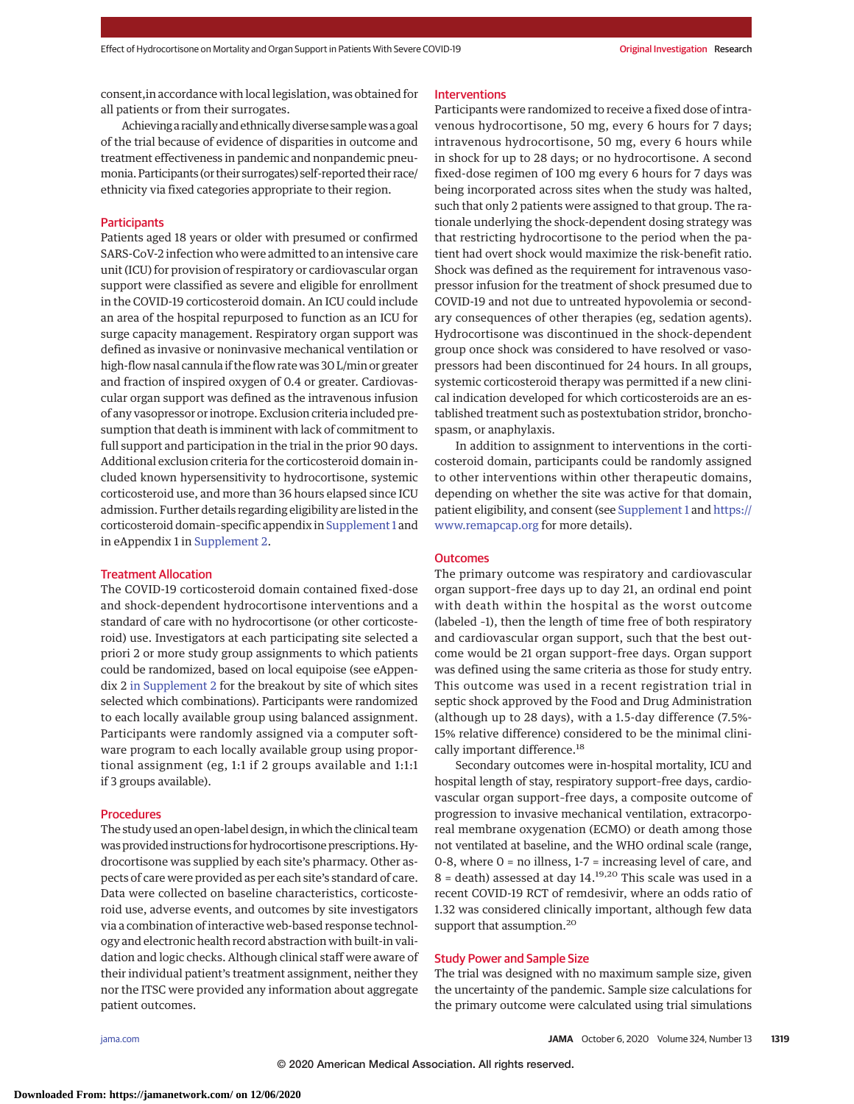consent,in accordance with local legislation, was obtained for all patients or from their surrogates.

Achieving a racially and ethnically diverse samplewas a goal of the trial because of evidence of disparities in outcome and treatment effectiveness in pandemic and nonpandemic pneumonia. Participants (or their surrogates) self-reported their race/ ethnicity via fixed categories appropriate to their region.

# **Participants**

Patients aged 18 years or older with presumed or confirmed SARS-CoV-2 infection who were admitted to an intensive care unit (ICU) for provision of respiratory or cardiovascular organ support were classified as severe and eligible for enrollment in the COVID-19 corticosteroid domain. An ICU could include an area of the hospital repurposed to function as an ICU for surge capacity management. Respiratory organ support was defined as invasive or noninvasive mechanical ventilation or high-flow nasal cannula if the flow rate was 30 L/min or greater and fraction of inspired oxygen of 0.4 or greater. Cardiovascular organ support was defined as the intravenous infusion of any vasopressor or inotrope. Exclusion criteria included presumption that death is imminent with lack of commitment to full support and participation in the trial in the prior 90 days. Additional exclusion criteria for the corticosteroid domain included known hypersensitivity to hydrocortisone, systemic corticosteroid use, and more than 36 hours elapsed since ICU admission. Further details regarding eligibility are listed in the corticosteroid domain–specific appendix in [Supplement 1](https://jamanetwork.com/journals/jama/fullarticle/10.1001/jama.2020.17022?utm_campaign=articlePDF%26utm_medium=articlePDFlink%26utm_source=articlePDF%26utm_content=jama.2020.17022) and in eAppendix 1 in [Supplement 2.](https://jamanetwork.com/journals/jama/fullarticle/10.1001/jama.2020.17022?utm_campaign=articlePDF%26utm_medium=articlePDFlink%26utm_source=articlePDF%26utm_content=jama.2020.17022)

### Treatment Allocation

The COVID-19 corticosteroid domain contained fixed-dose and shock-dependent hydrocortisone interventions and a standard of care with no hydrocortisone (or other corticosteroid) use. Investigators at each participating site selected a priori 2 or more study group assignments to which patients could be randomized, based on local equipoise (see eAppendix 2 [in Supplement 2](https://jamanetwork.com/journals/jama/fullarticle/10.1001/jama.2020.17022?utm_campaign=articlePDF%26utm_medium=articlePDFlink%26utm_source=articlePDF%26utm_content=jama.2020.17022) for the breakout by site of which sites selected which combinations). Participants were randomized to each locally available group using balanced assignment. Participants were randomly assigned via a computer software program to each locally available group using proportional assignment (eg, 1:1 if 2 groups available and 1:1:1 if 3 groups available).

### **Procedures**

The study used an open-label design, in which the clinical team was provided instructions for hydrocortisone prescriptions. Hydrocortisone was supplied by each site's pharmacy. Other aspects of care were provided as per each site's standard of care. Data were collected on baseline characteristics, corticosteroid use, adverse events, and outcomes by site investigators via a combination of interactive web-based response technology and electronic health record abstraction with built-in validation and logic checks. Although clinical staff were aware of their individual patient's treatment assignment, neither they nor the ITSC were provided any information about aggregate patient outcomes.

### Interventions

Participants were randomized to receive a fixed dose of intravenous hydrocortisone, 50 mg, every 6 hours for 7 days; intravenous hydrocortisone, 50 mg, every 6 hours while in shock for up to 28 days; or no hydrocortisone. A second fixed-dose regimen of 100 mg every 6 hours for 7 days was being incorporated across sites when the study was halted, such that only 2 patients were assigned to that group. The rationale underlying the shock-dependent dosing strategy was that restricting hydrocortisone to the period when the patient had overt shock would maximize the risk-benefit ratio. Shock was defined as the requirement for intravenous vasopressor infusion for the treatment of shock presumed due to COVID-19 and not due to untreated hypovolemia or secondary consequences of other therapies (eg, sedation agents). Hydrocortisone was discontinued in the shock-dependent group once shock was considered to have resolved or vasopressors had been discontinued for 24 hours. In all groups, systemic corticosteroid therapy was permitted if a new clinical indication developed for which corticosteroids are an established treatment such as postextubation stridor, bronchospasm, or anaphylaxis.

In addition to assignment to interventions in the corticosteroid domain, participants could be randomly assigned to other interventions within other therapeutic domains, depending on whether the site was active for that domain, patient eligibility, and consent (see [Supplement 1](https://jamanetwork.com/journals/jama/fullarticle/10.1001/jama.2020.17022?utm_campaign=articlePDF%26utm_medium=articlePDFlink%26utm_source=articlePDF%26utm_content=jama.2020.17022) and [https://](https://www.remapcap.org/) [www.remapcap.org](https://www.remapcap.org/) for more details).

### **Outcomes**

The primary outcome was respiratory and cardiovascular organ support–free days up to day 21, an ordinal end point with death within the hospital as the worst outcome (labeled –1), then the length of time free of both respiratory and cardiovascular organ support, such that the best outcome would be 21 organ support–free days. Organ support was defined using the same criteria as those for study entry. This outcome was used in a recent registration trial in septic shock approved by the Food and Drug Administration (although up to 28 days), with a 1.5-day difference (7.5%- 15% relative difference) considered to be the minimal clinically important difference.<sup>18</sup>

Secondary outcomes were in-hospital mortality, ICU and hospital length of stay, respiratory support–free days, cardiovascular organ support–free days, a composite outcome of progression to invasive mechanical ventilation, extracorporeal membrane oxygenation (ECMO) or death among those not ventilated at baseline, and the WHO ordinal scale (range, 0-8, where 0 = no illness, 1-7 = increasing level of care, and  $8 =$  death) assessed at day  $14.^{19,20}$  This scale was used in a recent COVID-19 RCT of remdesivir, where an odds ratio of 1.32 was considered clinically important, although few data support that assumption.<sup>20</sup>

## Study Power and Sample Size

The trial was designed with no maximum sample size, given the uncertainty of the pandemic. Sample size calculations for the primary outcome were calculated using trial simulations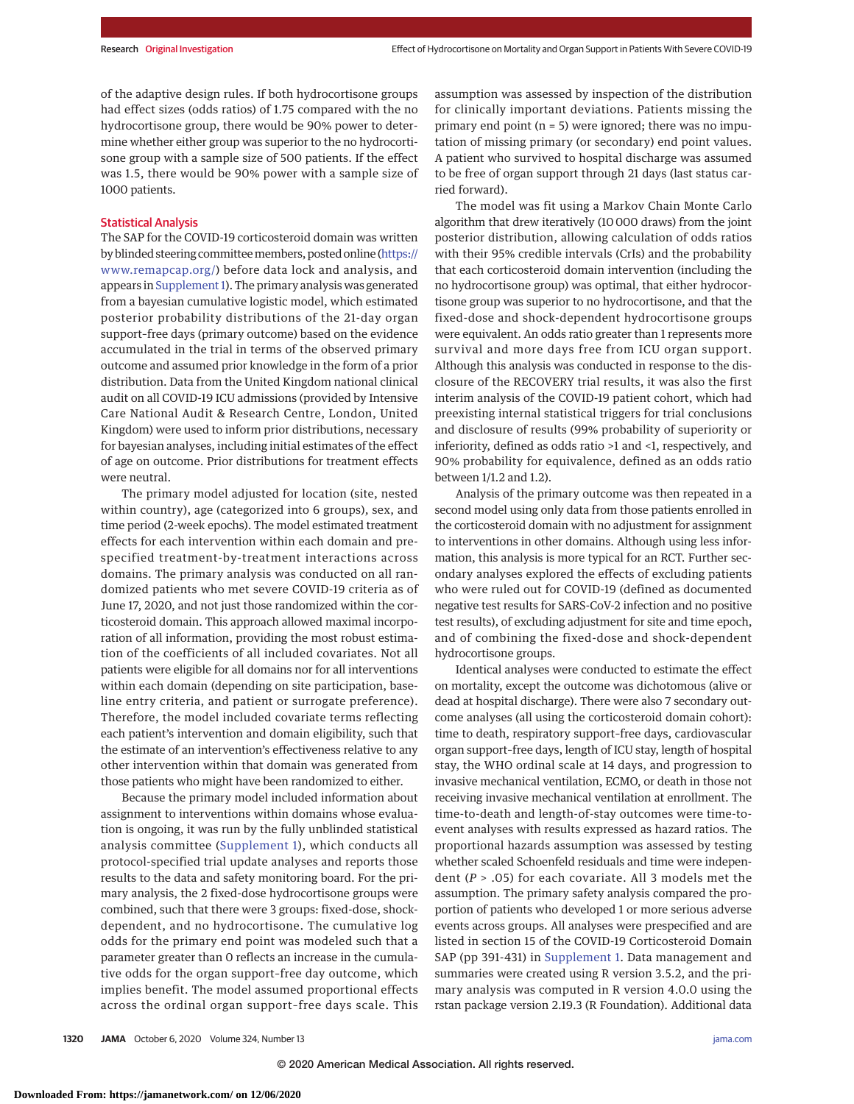of the adaptive design rules. If both hydrocortisone groups had effect sizes (odds ratios) of 1.75 compared with the no hydrocortisone group, there would be 90% power to determine whether either group was superior to the no hydrocortisone group with a sample size of 500 patients. If the effect was 1.5, there would be 90% power with a sample size of 1000 patients.

### Statistical Analysis

The SAP for the COVID-19 corticosteroid domain was written by blinded steering committeemembers, posted online [\(https://](https://www.remapcap.org/) [www.remapcap.org/\)](https://www.remapcap.org/) before data lock and analysis, and appears in [Supplement 1\)](https://jamanetwork.com/journals/jama/fullarticle/10.1001/jama.2020.17022?utm_campaign=articlePDF%26utm_medium=articlePDFlink%26utm_source=articlePDF%26utm_content=jama.2020.17022). The primary analysis was generated from a bayesian cumulative logistic model, which estimated posterior probability distributions of the 21-day organ support–free days (primary outcome) based on the evidence accumulated in the trial in terms of the observed primary outcome and assumed prior knowledge in the form of a prior distribution. Data from the United Kingdom national clinical audit on all COVID-19 ICU admissions (provided by Intensive Care National Audit & Research Centre, London, United Kingdom) were used to inform prior distributions, necessary for bayesian analyses, including initial estimates of the effect of age on outcome. Prior distributions for treatment effects were neutral.

The primary model adjusted for location (site, nested within country), age (categorized into 6 groups), sex, and time period (2-week epochs). The model estimated treatment effects for each intervention within each domain and prespecified treatment-by-treatment interactions across domains. The primary analysis was conducted on all randomized patients who met severe COVID-19 criteria as of June 17, 2020, and not just those randomized within the corticosteroid domain. This approach allowed maximal incorporation of all information, providing the most robust estimation of the coefficients of all included covariates. Not all patients were eligible for all domains nor for all interventions within each domain (depending on site participation, baseline entry criteria, and patient or surrogate preference). Therefore, the model included covariate terms reflecting each patient's intervention and domain eligibility, such that the estimate of an intervention's effectiveness relative to any other intervention within that domain was generated from those patients who might have been randomized to either.

Because the primary model included information about assignment to interventions within domains whose evaluation is ongoing, it was run by the fully unblinded statistical analysis committee [\(Supplement 1\)](https://jamanetwork.com/journals/jama/fullarticle/10.1001/jama.2020.17022?utm_campaign=articlePDF%26utm_medium=articlePDFlink%26utm_source=articlePDF%26utm_content=jama.2020.17022), which conducts all protocol-specified trial update analyses and reports those results to the data and safety monitoring board. For the primary analysis, the 2 fixed-dose hydrocortisone groups were combined, such that there were 3 groups: fixed-dose, shockdependent, and no hydrocortisone. The cumulative log odds for the primary end point was modeled such that a parameter greater than 0 reflects an increase in the cumulative odds for the organ support–free day outcome, which implies benefit. The model assumed proportional effects across the ordinal organ support–free days scale. This

assumption was assessed by inspection of the distribution for clinically important deviations. Patients missing the primary end point (n = 5) were ignored; there was no imputation of missing primary (or secondary) end point values. A patient who survived to hospital discharge was assumed to be free of organ support through 21 days (last status carried forward).

The model was fit using a Markov Chain Monte Carlo algorithm that drew iteratively (10 000 draws) from the joint posterior distribution, allowing calculation of odds ratios with their 95% credible intervals (CrIs) and the probability that each corticosteroid domain intervention (including the no hydrocortisone group) was optimal, that either hydrocortisone group was superior to no hydrocortisone, and that the fixed-dose and shock-dependent hydrocortisone groups were equivalent. An odds ratio greater than 1 represents more survival and more days free from ICU organ support. Although this analysis was conducted in response to the disclosure of the RECOVERY trial results, it was also the first interim analysis of the COVID-19 patient cohort, which had preexisting internal statistical triggers for trial conclusions and disclosure of results (99% probability of superiority or inferiority, defined as odds ratio >1 and <1, respectively, and 90% probability for equivalence, defined as an odds ratio between 1/1.2 and 1.2).

Analysis of the primary outcome was then repeated in a second model using only data from those patients enrolled in the corticosteroid domain with no adjustment for assignment to interventions in other domains. Although using less information, this analysis is more typical for an RCT. Further secondary analyses explored the effects of excluding patients who were ruled out for COVID-19 (defined as documented negative test results for SARS-CoV-2 infection and no positive test results), of excluding adjustment for site and time epoch, and of combining the fixed-dose and shock-dependent hydrocortisone groups.

Identical analyses were conducted to estimate the effect on mortality, except the outcome was dichotomous (alive or dead at hospital discharge). There were also 7 secondary outcome analyses (all using the corticosteroid domain cohort): time to death, respiratory support–free days, cardiovascular organ support–free days, length of ICU stay, length of hospital stay, the WHO ordinal scale at 14 days, and progression to invasive mechanical ventilation, ECMO, or death in those not receiving invasive mechanical ventilation at enrollment. The time-to-death and length-of-stay outcomes were time-toevent analyses with results expressed as hazard ratios. The proportional hazards assumption was assessed by testing whether scaled Schoenfeld residuals and time were independent (*P* > .05) for each covariate. All 3 models met the assumption. The primary safety analysis compared the proportion of patients who developed 1 or more serious adverse events across groups. All analyses were prespecified and are listed in section 15 of the COVID-19 Corticosteroid Domain SAP (pp 391-431) in [Supplement 1.](https://jamanetwork.com/journals/jama/fullarticle/10.1001/jama.2020.17022?utm_campaign=articlePDF%26utm_medium=articlePDFlink%26utm_source=articlePDF%26utm_content=jama.2020.17022) Data management and summaries were created using R version 3.5.2, and the primary analysis was computed in R version 4.0.0 using the rstan package version 2.19.3 (R Foundation). Additional data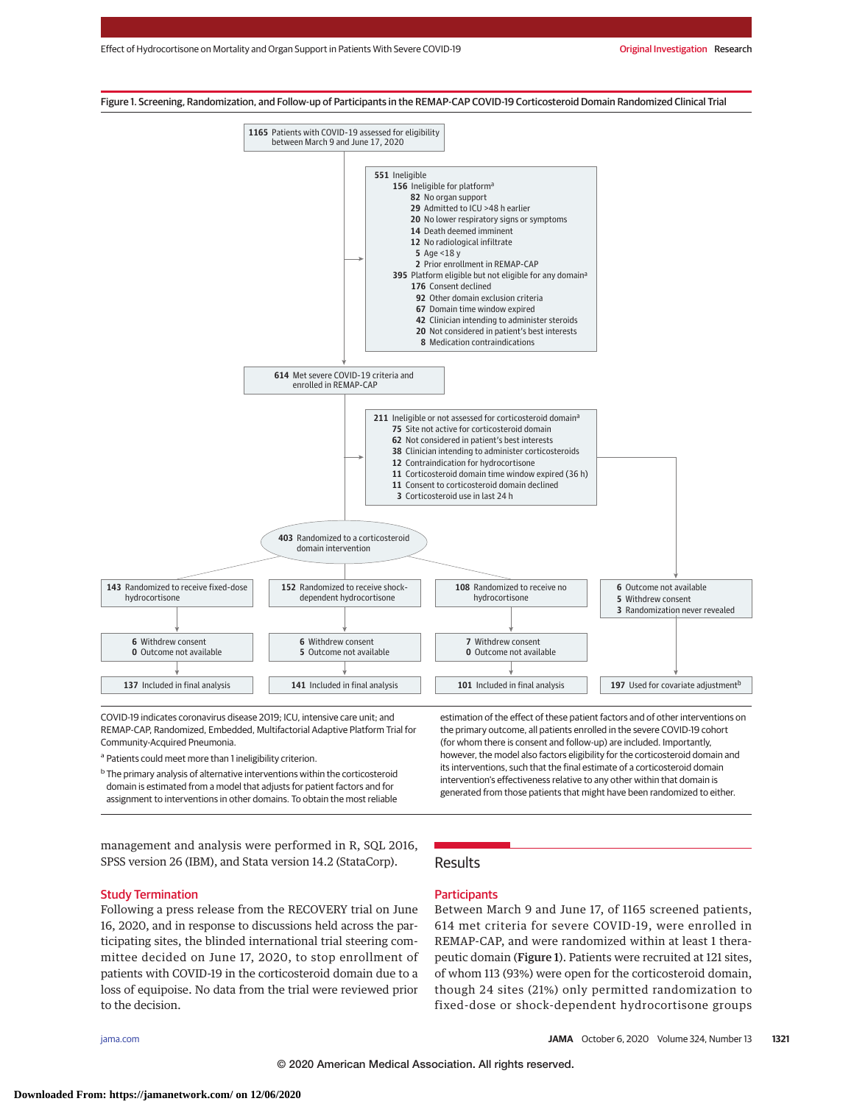Effect of Hydrocortisone on Mortality and Organ Support in Patients With Severe COVID-19 **Original Investigation Research** 

### Figure 1. Screening, Randomization, and Follow-up of Participants in the REMAP-CAP COVID-19 Corticosteroid Domain Randomized Clinical Trial **1165** Patients with COVID-19 assessed for eligibility between March 9 and June 17, 2020 **614** Met severe COVID-19 criteria and enrolled in REMAP-CAP **551** Ineligible 156 Ineligible for platform<sup>a</sup> **395** Platform eligible but not eligible for any domaina **20** No lower respiratory signs or symptoms **12** No radiological infiltrate **14** Death deemed imminent **5** Age <18 y **2** Prior enrollment in REMAP-CAP **176** Consent declined **92** Other domain exclusion criteria **67** Domain time window expired **42** Clinician intending to administer steroids **20** Not considered in patient's best interests **8** Medication contraindications **82** No organ support **29** Admitted to ICU >48 h earlier 211 Ineligible or not assessed for corticosteroid domain<sup>a</sup> **75** Site not active for corticosteroid domain **12** Contraindication for hydrocortisone **11** Corticosteroid domain time window expired (36 h) **11** Consent to corticosteroid domain declined **3** Corticosteroid use in last 24 h **62** Not considered in patient's best interests **38** Clinician intending to administer corticosteroids **403** Randomized to a corticosteroid domain intervention **6** Withdrew consent **0** Outcome not available **6** Withdrew consent **5** Outcome not available **7** Withdrew consent **0** Outcome not available **143** Randomized to receive fixed-dose hydrocortisone **152** Randomized to receive shockdependent hydrocortisone **108** Randomized to receive no hydrocortisone **6** Outcome not available **5** Withdrew consent **3** Randomization never revealed **137** Included in final analysis **141** Included in final analysis **101** Included in final analysis **197** Used for covariate adjustmentb

COVID-19 indicates coronavirus disease 2019; ICU, intensive care unit; and REMAP-CAP, Randomized, Embedded, Multifactorial Adaptive Platform Trial for Community-Acquired Pneumonia.

<sup>a</sup> Patients could meet more than 1 ineligibility criterion.

<sup>b</sup> The primary analysis of alternative interventions within the corticosteroid domain is estimated from a model that adjusts for patient factors and for assignment to interventions in other domains. To obtain the most reliable

estimation of the effect of these patient factors and of other interventions on the primary outcome, all patients enrolled in the severe COVID-19 cohort (for whom there is consent and follow-up) are included. Importantly, however, the model also factors eligibility for the corticosteroid domain and its interventions, such that the final estimate of a corticosteroid domain intervention's effectiveness relative to any other within that domain is generated from those patients that might have been randomized to either.

management and analysis were performed in R, SQL 2016, SPSS version 26 (IBM), and Stata version 14.2 (StataCorp).

# **Results**

# Study Termination

Following a press release from the RECOVERY trial on June 16, 2020, and in response to discussions held across the participating sites, the blinded international trial steering committee decided on June 17, 2020, to stop enrollment of patients with COVID-19 in the corticosteroid domain due to a loss of equipoise. No data from the trial were reviewed prior to the decision.

**Participants** 

Between March 9 and June 17, of 1165 screened patients, 614 met criteria for severe COVID-19, were enrolled in REMAP-CAP, and were randomized within at least 1 therapeutic domain (Figure 1). Patients were recruited at 121 sites, of whom 113 (93%) were open for the corticosteroid domain, though 24 sites (21%) only permitted randomization to fixed-dose or shock-dependent hydrocortisone groups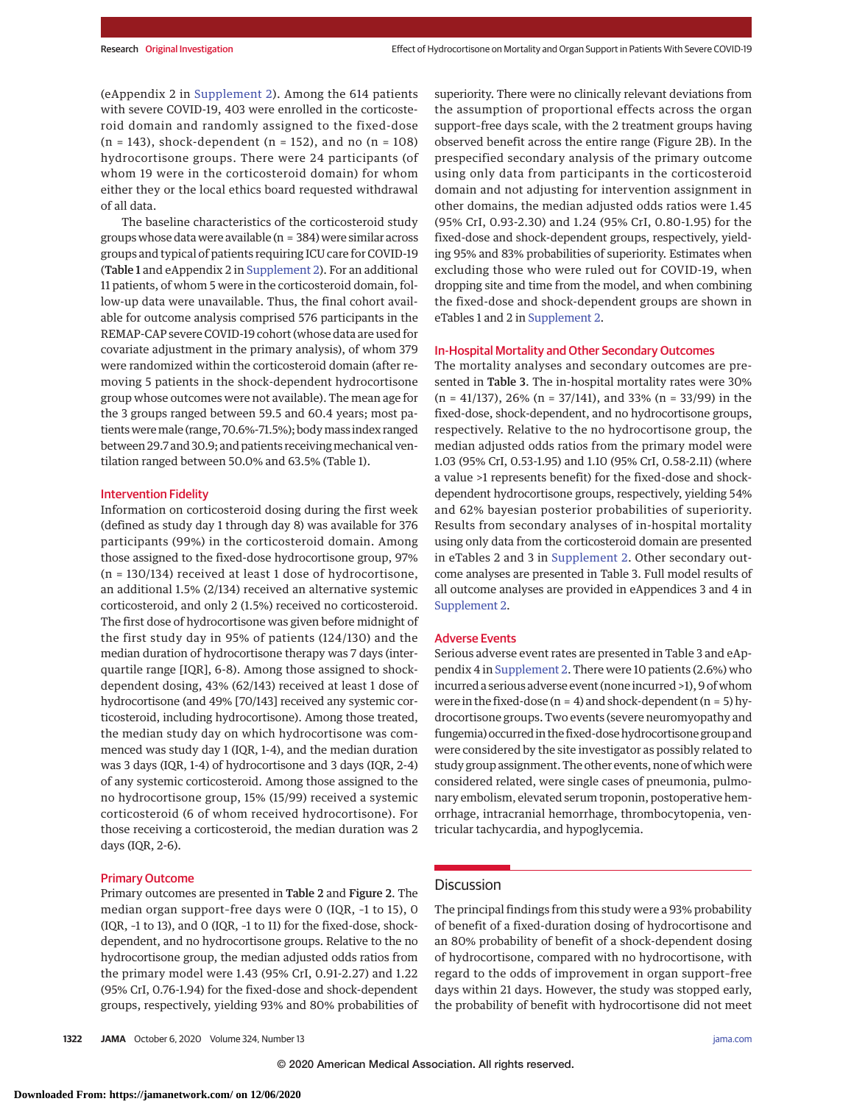(eAppendix 2 in [Supplement 2\)](https://jamanetwork.com/journals/jama/fullarticle/10.1001/jama.2020.17022?utm_campaign=articlePDF%26utm_medium=articlePDFlink%26utm_source=articlePDF%26utm_content=jama.2020.17022). Among the 614 patients with severe COVID-19, 403 were enrolled in the corticosteroid domain and randomly assigned to the fixed-dose  $(n = 143)$ , shock-dependent  $(n = 152)$ , and no  $(n = 108)$ hydrocortisone groups. There were 24 participants (of whom 19 were in the corticosteroid domain) for whom either they or the local ethics board requested withdrawal of all data.

The baseline characteristics of the corticosteroid study groups whose data were available (n = 384) were similar across groups and typical of patients requiring ICU care for COVID-19 (Table 1 and eAppendix 2 in [Supplement 2\)](https://jamanetwork.com/journals/jama/fullarticle/10.1001/jama.2020.17022?utm_campaign=articlePDF%26utm_medium=articlePDFlink%26utm_source=articlePDF%26utm_content=jama.2020.17022). For an additional 11 patients, of whom 5 were in the corticosteroid domain, follow-up data were unavailable. Thus, the final cohort available for outcome analysis comprised 576 participants in the REMAP-CAP severe COVID-19 cohort (whose data are used for covariate adjustment in the primary analysis), of whom 379 were randomized within the corticosteroid domain (after removing 5 patients in the shock-dependent hydrocortisone group whose outcomes were not available). The mean age for the 3 groups ranged between 59.5 and 60.4 years; most patients were male (range, 70.6%-71.5%); body mass index ranged between 29.7 and 30.9; and patients receiving mechanical ventilation ranged between 50.0% and 63.5% (Table 1).

### Intervention Fidelity

Information on corticosteroid dosing during the first week (defined as study day 1 through day 8) was available for 376 participants (99%) in the corticosteroid domain. Among those assigned to the fixed-dose hydrocortisone group, 97% (n = 130/134) received at least 1 dose of hydrocortisone, an additional 1.5% (2/134) received an alternative systemic corticosteroid, and only 2 (1.5%) received no corticosteroid. The first dose of hydrocortisone was given before midnight of the first study day in 95% of patients (124/130) and the median duration of hydrocortisone therapy was 7 days (interquartile range [IQR], 6-8). Among those assigned to shockdependent dosing, 43% (62/143) received at least 1 dose of hydrocortisone (and 49% [70/143] received any systemic corticosteroid, including hydrocortisone). Among those treated, the median study day on which hydrocortisone was commenced was study day 1 (IQR, 1-4), and the median duration was 3 days (IQR, 1-4) of hydrocortisone and 3 days (IQR, 2-4) of any systemic corticosteroid. Among those assigned to the no hydrocortisone group, 15% (15/99) received a systemic corticosteroid (6 of whom received hydrocortisone). For those receiving a corticosteroid, the median duration was 2 days (IQR, 2-6).

### Primary Outcome

Primary outcomes are presented in Table 2 and Figure 2. The median organ support–free days were 0 (IQR, –1 to 15), 0 (IQR, –1 to 13), and 0 (IQR, –1 to 11) for the fixed-dose, shockdependent, and no hydrocortisone groups. Relative to the no hydrocortisone group, the median adjusted odds ratios from the primary model were 1.43 (95% CrI, 0.91-2.27) and 1.22 (95% CrI, 0.76-1.94) for the fixed-dose and shock-dependent groups, respectively, yielding 93% and 80% probabilities of superiority. There were no clinically relevant deviations from the assumption of proportional effects across the organ support–free days scale, with the 2 treatment groups having observed benefit across the entire range (Figure 2B). In the prespecified secondary analysis of the primary outcome using only data from participants in the corticosteroid domain and not adjusting for intervention assignment in other domains, the median adjusted odds ratios were 1.45 (95% CrI, 0.93-2.30) and 1.24 (95% CrI, 0.80-1.95) for the fixed-dose and shock-dependent groups, respectively, yielding 95% and 83% probabilities of superiority. Estimates when excluding those who were ruled out for COVID-19, when dropping site and time from the model, and when combining the fixed-dose and shock-dependent groups are shown in eTables 1 and 2 in [Supplement 2.](https://jamanetwork.com/journals/jama/fullarticle/10.1001/jama.2020.17022?utm_campaign=articlePDF%26utm_medium=articlePDFlink%26utm_source=articlePDF%26utm_content=jama.2020.17022)

### In-Hospital Mortality and Other Secondary Outcomes

The mortality analyses and secondary outcomes are presented in Table 3. The in-hospital mortality rates were 30%  $(n = 41/137)$ , 26%  $(n = 37/141)$ , and 33%  $(n = 33/99)$  in the fixed-dose, shock-dependent, and no hydrocortisone groups, respectively. Relative to the no hydrocortisone group, the median adjusted odds ratios from the primary model were 1.03 (95% CrI, 0.53-1.95) and 1.10 (95% CrI, 0.58-2.11) (where a value >1 represents benefit) for the fixed-dose and shockdependent hydrocortisone groups, respectively, yielding 54% and 62% bayesian posterior probabilities of superiority. Results from secondary analyses of in-hospital mortality using only data from the corticosteroid domain are presented in eTables 2 and 3 in [Supplement 2.](https://jamanetwork.com/journals/jama/fullarticle/10.1001/jama.2020.17022?utm_campaign=articlePDF%26utm_medium=articlePDFlink%26utm_source=articlePDF%26utm_content=jama.2020.17022) Other secondary outcome analyses are presented in Table 3. Full model results of all outcome analyses are provided in eAppendices 3 and 4 in [Supplement 2.](https://jamanetwork.com/journals/jama/fullarticle/10.1001/jama.2020.17022?utm_campaign=articlePDF%26utm_medium=articlePDFlink%26utm_source=articlePDF%26utm_content=jama.2020.17022)

### Adverse Events

Serious adverse event rates are presented in Table 3 and eAppendix 4 in [Supplement 2.](https://jamanetwork.com/journals/jama/fullarticle/10.1001/jama.2020.17022?utm_campaign=articlePDF%26utm_medium=articlePDFlink%26utm_source=articlePDF%26utm_content=jama.2020.17022) There were 10 patients (2.6%) who incurred a serious adverse event (none incurred >1), 9 of whom were in the fixed-dose ( $n = 4$ ) and shock-dependent ( $n = 5$ ) hydrocortisone groups. Two events (severe neuromyopathy and fungemia) occurred in the fixed-dose hydrocortisone group and were considered by the site investigator as possibly related to study group assignment. The other events, none of which were considered related, were single cases of pneumonia, pulmonary embolism, elevated serum troponin, postoperative hemorrhage, intracranial hemorrhage, thrombocytopenia, ventricular tachycardia, and hypoglycemia.

### **Discussion**

The principal findings from this study were a 93% probability of benefit of a fixed-duration dosing of hydrocortisone and an 80% probability of benefit of a shock-dependent dosing of hydrocortisone, compared with no hydrocortisone, with regard to the odds of improvement in organ support–free days within 21 days. However, the study was stopped early, the probability of benefit with hydrocortisone did not meet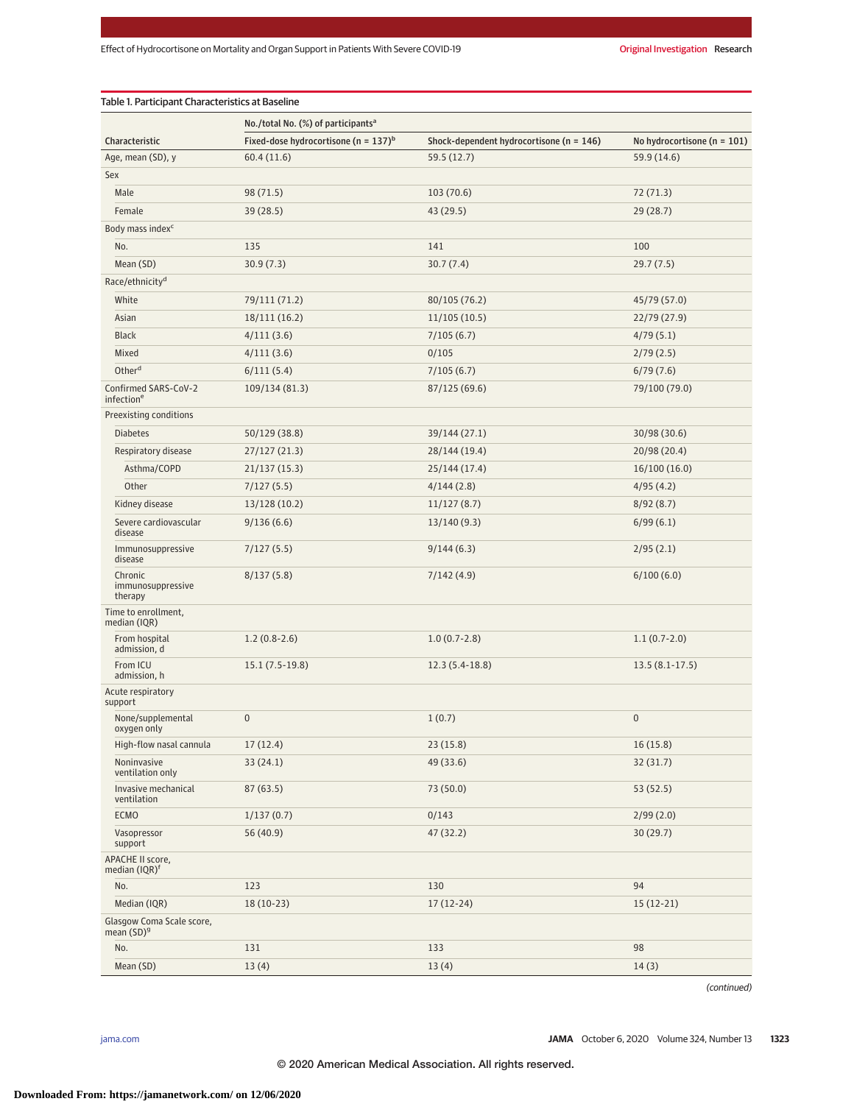| Table 1. Participant Characteristics at Baseline    |                                                     |                                              |                                 |  |  |
|-----------------------------------------------------|-----------------------------------------------------|----------------------------------------------|---------------------------------|--|--|
|                                                     | No./total No. (%) of participants <sup>a</sup>      |                                              |                                 |  |  |
| Characteristic                                      | Fixed-dose hydrocortisone (n = $137$ ) <sup>b</sup> | Shock-dependent hydrocortisone ( $n = 146$ ) | No hydrocortisone ( $n = 101$ ) |  |  |
| Age, mean (SD), y                                   | 60.4(11.6)                                          | 59.5 (12.7)                                  | 59.9 (14.6)                     |  |  |
| Sex                                                 |                                                     |                                              |                                 |  |  |
| Male                                                | 98 (71.5)                                           | 103(70.6)                                    | 72 (71.3)                       |  |  |
| Female                                              | 39 (28.5)                                           | 43 (29.5)                                    | 29 (28.7)                       |  |  |
| Body mass index <sup>c</sup>                        |                                                     |                                              |                                 |  |  |
| No.                                                 | 135                                                 | 141                                          | 100                             |  |  |
| Mean (SD)                                           | 30.9(7.3)                                           | 30.7(7.4)                                    | 29.7(7.5)                       |  |  |
| Race/ethnicity <sup>d</sup>                         |                                                     |                                              |                                 |  |  |
| White                                               | 79/111 (71.2)                                       | 80/105 (76.2)                                | 45/79 (57.0)                    |  |  |
| Asian                                               | 18/111 (16.2)                                       | 11/105(10.5)                                 | 22/79 (27.9)                    |  |  |
| <b>Black</b>                                        | 4/111(3.6)                                          | 7/105(6.7)                                   | 4/79(5.1)                       |  |  |
| Mixed                                               | 4/111(3.6)                                          | 0/105                                        | 2/79(2.5)                       |  |  |
| Other <sup>d</sup>                                  | 6/111(5.4)                                          | 7/105(6.7)                                   | 6/79(7.6)                       |  |  |
| Confirmed SARS-CoV-2<br>infection <sup>e</sup>      | 109/134 (81.3)                                      | 87/125 (69.6)                                | 79/100 (79.0)                   |  |  |
| Preexisting conditions                              |                                                     |                                              |                                 |  |  |
| <b>Diabetes</b>                                     | 50/129 (38.8)                                       | 39/144 (27.1)                                | 30/98 (30.6)                    |  |  |
| Respiratory disease                                 | 27/127(21.3)                                        | 28/144 (19.4)                                | 20/98 (20.4)                    |  |  |
| Asthma/COPD                                         | 21/137(15.3)                                        | 25/144 (17.4)                                | 16/100 (16.0)                   |  |  |
| Other                                               | 7/127(5.5)                                          | 4/144(2.8)                                   | 4/95(4.2)                       |  |  |
| Kidney disease                                      | 13/128 (10.2)                                       | 11/127(8.7)                                  | 8/92(8.7)                       |  |  |
| Severe cardiovascular<br>disease                    | 9/136(6.6)                                          | 13/140(9.3)                                  | 6/99(6.1)                       |  |  |
| Immunosuppressive<br>disease                        | 7/127(5.5)                                          | 9/144(6.3)                                   | 2/95(2.1)                       |  |  |
| Chronic<br>immunosuppressive<br>therapy             | 8/137(5.8)                                          | 7/142(4.9)                                   | 6/100(6.0)                      |  |  |
| Time to enrollment,<br>median (IQR)                 |                                                     |                                              |                                 |  |  |
| From hospital<br>admission, d                       | $1.2(0.8-2.6)$                                      | $1.0(0.7-2.8)$                               | $1.1(0.7-2.0)$                  |  |  |
| From ICU<br>admission, h                            | $15.1(7.5-19.8)$                                    | $12.3(5.4-18.8)$                             | $13.5(8.1-17.5)$                |  |  |
| Acute respiratory<br>support                        |                                                     |                                              |                                 |  |  |
| None/supplemental<br>oxygen only                    | $\mathbf{0}$                                        | 1(0.7)                                       | 0                               |  |  |
| High-flow nasal cannula                             | 17(12.4)                                            | 23(15.8)                                     | 16(15.8)                        |  |  |
| Noninvasive<br>ventilation only                     | 33 (24.1)                                           | 49 (33.6)                                    | 32(31.7)                        |  |  |
| Invasive mechanical<br>ventilation                  | 87(63.5)                                            | 73 (50.0)                                    | 53 (52.5)                       |  |  |
| ECMO                                                | 1/137(0.7)                                          | 0/143                                        | 2/99(2.0)                       |  |  |
| Vasopressor<br>support                              | 56 (40.9)                                           | 47 (32.2)                                    | 30(29.7)                        |  |  |
| APACHE II score,<br>median (IQR) <sup>f</sup>       |                                                     |                                              |                                 |  |  |
| No.                                                 | 123                                                 | 130                                          | 94                              |  |  |
| Median (IQR)                                        | $18(10-23)$                                         | $17(12-24)$                                  | $15(12-21)$                     |  |  |
| Glasgow Coma Scale score,<br>mean (SD) <sup>9</sup> |                                                     |                                              |                                 |  |  |
| No.                                                 | 131                                                 | 133                                          | 98                              |  |  |
| Mean (SD)                                           | 13(4)                                               | 13(4)                                        | 14(3)                           |  |  |

(continued)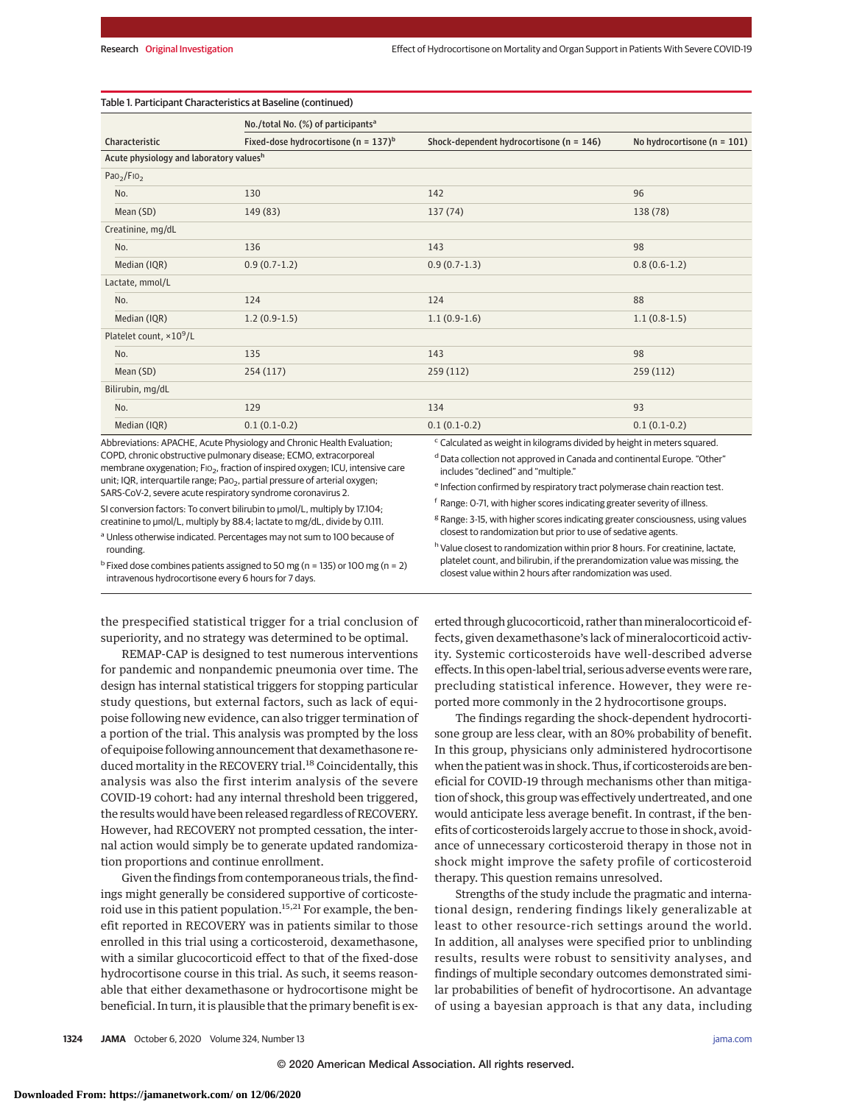| Table 1. Participant Characteristics at Baseline (continued)           |                                                     |                                                                                     |                                 |  |  |
|------------------------------------------------------------------------|-----------------------------------------------------|-------------------------------------------------------------------------------------|---------------------------------|--|--|
|                                                                        | No./total No. (%) of participants <sup>a</sup>      |                                                                                     |                                 |  |  |
| Characteristic                                                         | Fixed-dose hydrocortisone (n = $137$ ) <sup>b</sup> | Shock-dependent hydrocortisone ( $n = 146$ )                                        | No hydrocortisone ( $n = 101$ ) |  |  |
| Acute physiology and laboratory valuesh                                |                                                     |                                                                                     |                                 |  |  |
| Pao <sub>2</sub> /Fio <sub>2</sub>                                     |                                                     |                                                                                     |                                 |  |  |
| No.                                                                    | 130                                                 | 142                                                                                 | 96                              |  |  |
| Mean (SD)                                                              | 149 (83)                                            | 137(74)                                                                             | 138 (78)                        |  |  |
| Creatinine, mg/dL                                                      |                                                     |                                                                                     |                                 |  |  |
| No.                                                                    | 136                                                 | 143                                                                                 | 98                              |  |  |
| Median (IQR)                                                           | $0.9(0.7-1.2)$                                      | $0.9(0.7-1.3)$                                                                      | $0.8(0.6-1.2)$                  |  |  |
| Lactate, mmol/L                                                        |                                                     |                                                                                     |                                 |  |  |
| No.                                                                    | 124                                                 | 124                                                                                 | 88                              |  |  |
| Median (IQR)                                                           | $1.2(0.9-1.5)$                                      | $1.1(0.9-1.6)$                                                                      | $1.1(0.8-1.5)$                  |  |  |
| Platelet count, ×10 <sup>9</sup> /L                                    |                                                     |                                                                                     |                                 |  |  |
| No.                                                                    | 135                                                 | 143                                                                                 | 98                              |  |  |
| Mean (SD)                                                              | 254 (117)                                           | 259 (112)                                                                           | 259(112)                        |  |  |
| Bilirubin, mg/dL                                                       |                                                     |                                                                                     |                                 |  |  |
| No.                                                                    | 129                                                 | 134                                                                                 | 93                              |  |  |
| Median (IQR)                                                           | $0.1(0.1-0.2)$                                      | $0.1(0.1-0.2)$                                                                      | $0.1(0.1-0.2)$                  |  |  |
| Abbreviations: APACHE, Acute Physiology and Chronic Health Evaluation; |                                                     | <sup>c</sup> Calculated as weight in kilograms divided by height in meters squared. |                                 |  |  |

Abbreviations: APACHE, Acute Physiology and Chronic Health Evaluation; COPD, chronic obstructive pulmonary disease; ECMO, extracorporeal membrane oxygenation; FIO<sub>2</sub>, fraction of inspired oxygen; ICU, intensive care unit; IQR, interquartile range; Pao<sub>2</sub>, partial pressure of arterial oxygen; SARS-CoV-2, severe acute respiratory syndrome coronavirus 2.

SI conversion factors: To convert bilirubin to μmol/L, multiply by 17.104; creatinine to μmol/L, multiply by 88.4; lactate to mg/dL, divide by 0.111.

a Unless otherwise indicated. Percentages may not sum to 100 because of rounding.

 $b$  Fixed dose combines patients assigned to 50 mg (n = 135) or 100 mg (n = 2) intravenous hydrocortisone every 6 hours for 7 days.

the prespecified statistical trigger for a trial conclusion of superiority, and no strategy was determined to be optimal.

REMAP-CAP is designed to test numerous interventions for pandemic and nonpandemic pneumonia over time. The design has internal statistical triggers for stopping particular study questions, but external factors, such as lack of equipoise following new evidence, can also trigger termination of a portion of the trial. This analysis was prompted by the loss of equipoise following announcement that dexamethasone reduced mortality in the RECOVERY trial.<sup>18</sup> Coincidentally, this analysis was also the first interim analysis of the severe COVID-19 cohort: had any internal threshold been triggered, the results would have been released regardless of RECOVERY. However, had RECOVERY not prompted cessation, the internal action would simply be to generate updated randomization proportions and continue enrollment.

Given the findings from contemporaneous trials, the findings might generally be considered supportive of corticosteroid use in this patient population.<sup>15,21</sup> For example, the benefit reported in RECOVERY was in patients similar to those enrolled in this trial using a corticosteroid, dexamethasone, with a similar glucocorticoid effect to that of the fixed-dose hydrocortisone course in this trial. As such, it seems reasonable that either dexamethasone or hydrocortisone might be beneficial. In turn, it is plausible that the primary benefit is exd Data collection not approved in Canada and continental Europe. "Other" includes "declined" and "multiple." e Infection confirmed by respiratory tract polymerase chain reaction test.

<sup>f</sup> Range: 0-71, with higher scores indicating greater severity of illness.

<sup>g</sup> Range: 3-15, with higher scores indicating greater consciousness, using values closest to randomization but prior to use of sedative agents.

h Value closest to randomization within prior 8 hours. For creatinine, lactate, platelet count, and bilirubin, if the prerandomization value was missing, the closest value within 2 hours after randomization was used.

erted through glucocorticoid, rather than mineralocorticoid effects, given dexamethasone's lack of mineralocorticoid activity. Systemic corticosteroids have well-described adverse effects. In this open-label trial, serious adverse eventswere rare, precluding statistical inference. However, they were reported more commonly in the 2 hydrocortisone groups.

The findings regarding the shock-dependent hydrocortisone group are less clear, with an 80% probability of benefit. In this group, physicians only administered hydrocortisone when the patient was in shock. Thus, if corticosteroids are beneficial for COVID-19 through mechanisms other than mitigation of shock, this group was effectively undertreated, and one would anticipate less average benefit. In contrast, if the benefits of corticosteroids largely accrue to those in shock, avoidance of unnecessary corticosteroid therapy in those not in shock might improve the safety profile of corticosteroid therapy. This question remains unresolved.

Strengths of the study include the pragmatic and international design, rendering findings likely generalizable at least to other resource-rich settings around the world. In addition, all analyses were specified prior to unblinding results, results were robust to sensitivity analyses, and findings of multiple secondary outcomes demonstrated similar probabilities of benefit of hydrocortisone. An advantage of using a bayesian approach is that any data, including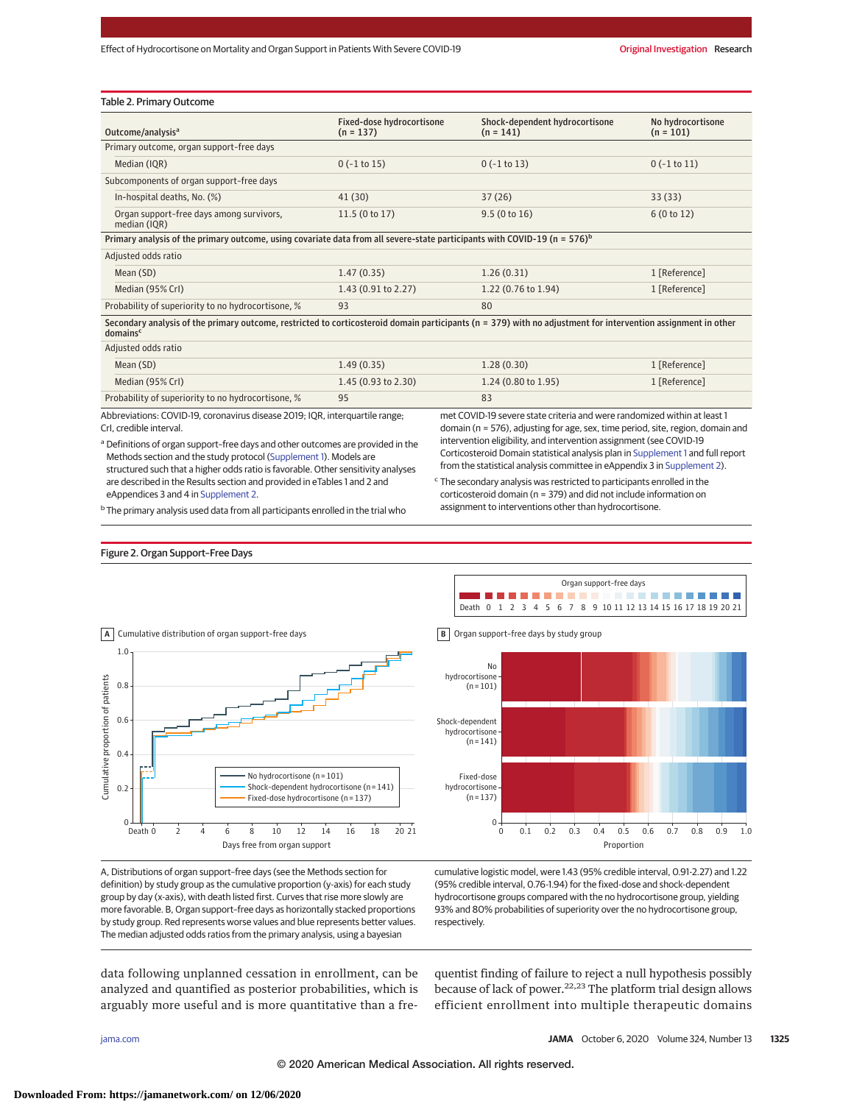# Table 2. Primary Outcome

|                                                                                                                                                                                       | Fixed-dose hydrocortisone     | Shock-dependent hydrocortisone                                                                                                                              | No hydrocortisone |
|---------------------------------------------------------------------------------------------------------------------------------------------------------------------------------------|-------------------------------|-------------------------------------------------------------------------------------------------------------------------------------------------------------|-------------------|
| Outcome/analysis <sup>a</sup>                                                                                                                                                         | $(n = 137)$                   | $(n = 141)$                                                                                                                                                 | $(n = 101)$       |
| Primary outcome, organ support-free days                                                                                                                                              |                               |                                                                                                                                                             |                   |
| Median (IQR)                                                                                                                                                                          | $0$ ( $-1$ to 15)             | $0$ ( $-1$ to 13)                                                                                                                                           | $0(-1 to 11)$     |
| Subcomponents of organ support-free days                                                                                                                                              |                               |                                                                                                                                                             |                   |
| In-hospital deaths, No. (%)                                                                                                                                                           | 41(30)                        | 37(26)                                                                                                                                                      | 33(33)            |
| Organ support-free days among survivors,<br>median (IQR)                                                                                                                              | 11.5 (0 to 17)                | 9.5(0 to 16)                                                                                                                                                | 6(0 to 12)        |
| Primary analysis of the primary outcome, using covariate data from all severe-state participants with COVID-19 ( $n = 576$ ) <sup>b</sup>                                             |                               |                                                                                                                                                             |                   |
| Adjusted odds ratio                                                                                                                                                                   |                               |                                                                                                                                                             |                   |
| Mean (SD)                                                                                                                                                                             | 1.47(0.35)                    | 1.26(0.31)                                                                                                                                                  | 1 [Reference]     |
| Median (95% Crl)                                                                                                                                                                      | 1.43(0.91 to 2.27)            | 1.22 (0.76 to 1.94)                                                                                                                                         | 1 [Reference]     |
| Probability of superiority to no hydrocortisone, %                                                                                                                                    | 93                            | 80                                                                                                                                                          |                   |
| Secondary analysis of the primary outcome, restricted to corticosteroid domain participants (n = 379) with no adjustment for intervention assignment in other<br>domains <sup>c</sup> |                               |                                                                                                                                                             |                   |
| Adjusted odds ratio                                                                                                                                                                   |                               |                                                                                                                                                             |                   |
| Mean (SD)                                                                                                                                                                             | 1.49(0.35)                    | 1.28(0.30)                                                                                                                                                  | 1 [Reference]     |
| Median (95% Crl)                                                                                                                                                                      | $1.45(0.93 \text{ to } 2.30)$ | $1.24$ (0.80 to 1.95)                                                                                                                                       | 1 [Reference]     |
| Probability of superiority to no hydrocortisone, %                                                                                                                                    | 95                            | 83                                                                                                                                                          |                   |
| Abbreviations: COVID-19, coronavirus disease 2019; IQR, interguartile range;<br>Crl. credible interval.                                                                               |                               | met COVID-19 severe state criteria and were randomized within at least 1<br>domain (n = 576), adjusting for age, sex, time period, site, region, domain and |                   |

a Definitions of organ support-free days and other outcomes are provided in the Methods section and the study protocol [\(Supplement 1\)](https://jamanetwork.com/journals/jama/fullarticle/10.1001/jama.2020.17022?utm_campaign=articlePDF%26utm_medium=articlePDFlink%26utm_source=articlePDF%26utm_content=jama.2020.17022). Models are structured such that a higher odds ratio is favorable. Other sensitivity analyses are described in the Results section and provided in eTables 1 and 2 and eAppendices 3 and 4 in [Supplement 2.](https://jamanetwork.com/journals/jama/fullarticle/10.1001/jama.2020.17022?utm_campaign=articlePDF%26utm_medium=articlePDFlink%26utm_source=articlePDF%26utm_content=jama.2020.17022)

domain (n = 576), adjusting for age, sex, time period, site, region, domain and intervention eligibility, and intervention assignment (see COVID-19 Corticosteroid Domain statistical analysis plan in [Supplement 1](https://jamanetwork.com/journals/jama/fullarticle/10.1001/jama.2020.17022?utm_campaign=articlePDF%26utm_medium=articlePDFlink%26utm_source=articlePDF%26utm_content=jama.2020.17022) and full report from the statistical analysis committee in eAppendix 3 in [Supplement 2\)](https://jamanetwork.com/journals/jama/fullarticle/10.1001/jama.2020.17022?utm_campaign=articlePDF%26utm_medium=articlePDFlink%26utm_source=articlePDF%26utm_content=jama.2020.17022).

Organ support–free days Death 0 1 2 3 4 5 6 7 8 9 10 11 12 13 14 15 16 17 18 19 20 21

**The Common** 

<sup>c</sup> The secondary analysis was restricted to participants enrolled in the corticosteroid domain (n = 379) and did not include information on assignment to interventions other than hydrocortisone.

<sup>b</sup> The primary analysis used data from all participants enrolled in the trial who

### Figure 2. Organ Support–Free Days



A, Distributions of organ support–free days (see the Methods section for definition) by study group as the cumulative proportion (y-axis) for each study group by day (x-axis), with death listed first. Curves that rise more slowly are more favorable. B, Organ support–free days as horizontally stacked proportions by study group. Red represents worse values and blue represents better values. The median adjusted odds ratios from the primary analysis, using a bayesian

**B** Organ support-free days by study group



cumulative logistic model, were 1.43 (95% credible interval, 0.91-2.27) and 1.22 (95% credible interval, 0.76-1.94) for the fixed-dose and shock-dependent hydrocortisone groups compared with the no hydrocortisone group, yielding 93% and 80% probabilities of superiority over the no hydrocortisone group, respectively.

data following unplanned cessation in enrollment, can be analyzed and quantified as posterior probabilities, which is arguably more useful and is more quantitative than a frequentist finding of failure to reject a null hypothesis possibly because of lack of power.<sup>22,23</sup> The platform trial design allows efficient enrollment into multiple therapeutic domains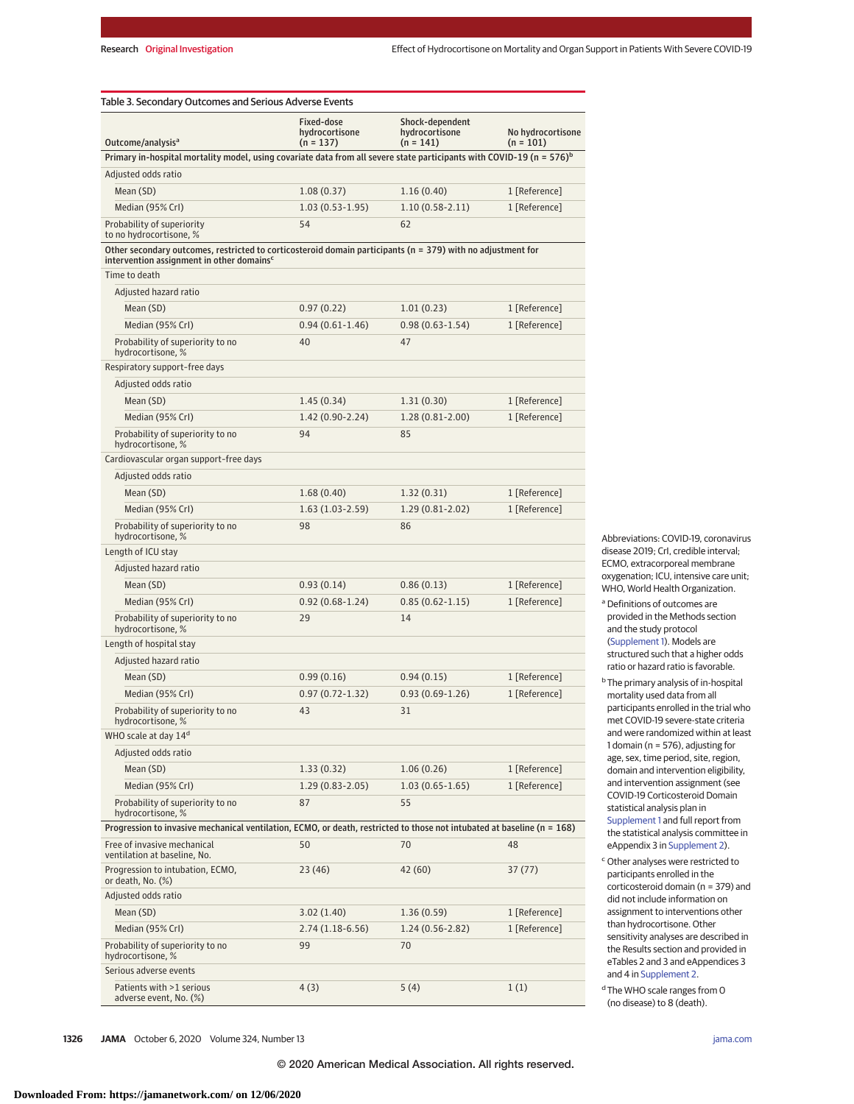|                                                                                                                                                                          | Fixed-dose<br>hydrocortisone | Shock-dependent<br>hydrocortisone | No hydrocortisone |
|--------------------------------------------------------------------------------------------------------------------------------------------------------------------------|------------------------------|-----------------------------------|-------------------|
| Outcome/analysis <sup>a</sup>                                                                                                                                            | $(n = 137)$                  | $(n = 141)$                       | $(n = 101)$       |
| Primary in-hospital mortality model, using covariate data from all severe state participants with COVID-19 ( $n = 576$ )b                                                |                              |                                   |                   |
| Adjusted odds ratio                                                                                                                                                      |                              |                                   |                   |
| Mean (SD)                                                                                                                                                                | 1.08(0.37)                   | 1.16(0.40)                        | 1 [Reference]     |
| Median (95% Crl)                                                                                                                                                         | $1.03(0.53-1.95)$            | $1.10(0.58-2.11)$                 | 1 [Reference]     |
| Probability of superiority<br>to no hydrocortisone, %                                                                                                                    | 54                           | 62                                |                   |
| Other secondary outcomes, restricted to corticosteroid domain participants ( $n = 379$ ) with no adjustment for<br>intervention assignment in other domains <sup>c</sup> |                              |                                   |                   |
| Time to death                                                                                                                                                            |                              |                                   |                   |
| Adjusted hazard ratio                                                                                                                                                    |                              |                                   |                   |
| Mean (SD)                                                                                                                                                                | 0.97(0.22)                   | 1.01(0.23)                        | 1 [Reference]     |
| Median (95% Crl)                                                                                                                                                         | $0.94(0.61-1.46)$            | $0.98(0.63 - 1.54)$               | 1 [Reference]     |
| Probability of superiority to no<br>hydrocortisone, %                                                                                                                    | 40                           | 47                                |                   |
| Respiratory support-free days                                                                                                                                            |                              |                                   |                   |
| Adjusted odds ratio                                                                                                                                                      |                              |                                   |                   |
| Mean (SD)                                                                                                                                                                | 1.45(0.34)                   | 1.31(0.30)                        | 1 [Reference]     |
| Median (95% Crl)                                                                                                                                                         | 1.42 (0.90-2.24)             | 1.28 (0.81-2.00)                  | 1 [Reference]     |
| Probability of superiority to no<br>hydrocortisone, %                                                                                                                    | 94                           | 85                                |                   |
| Cardiovascular organ support-free days                                                                                                                                   |                              |                                   |                   |
| Adjusted odds ratio                                                                                                                                                      |                              |                                   |                   |
| Mean (SD)                                                                                                                                                                | 1.68(0.40)                   | 1.32(0.31)                        | 1 [Reference]     |
| Median (95% Crl)                                                                                                                                                         | $1.63(1.03-2.59)$            | 1.29 (0.81-2.02)                  | 1 [Reference]     |
| Probability of superiority to no<br>hydrocortisone, %                                                                                                                    | 98                           | 86                                |                   |
| Length of ICU stay                                                                                                                                                       |                              |                                   |                   |
| Adjusted hazard ratio                                                                                                                                                    |                              |                                   |                   |
| Mean (SD)                                                                                                                                                                | 0.93(0.14)                   | 0.86(0.13)                        | 1 [Reference]     |
| Median (95% Crl)                                                                                                                                                         | $0.92(0.68-1.24)$            | $0.85(0.62 - 1.15)$               | 1 [Reference]     |
| Probability of superiority to no<br>hydrocortisone, %                                                                                                                    | 29                           | 14                                |                   |
| Length of hospital stay                                                                                                                                                  |                              |                                   |                   |
| Adjusted hazard ratio                                                                                                                                                    |                              |                                   |                   |
| Mean (SD)                                                                                                                                                                | 0.99(0.16)                   | 0.94(0.15)                        | 1 [Reference]     |
| Median (95% Crl)                                                                                                                                                         | $0.97(0.72 - 1.32)$          | 0.93 (0.69-1.26)                  | 1 [Reference]     |
| Probability of superiority to no<br>nyarocortisone, %                                                                                                                    | 43                           | 31                                |                   |
| WHO scale at day 14 <sup>d</sup>                                                                                                                                         |                              |                                   |                   |
| Adjusted odds ratio                                                                                                                                                      |                              |                                   |                   |
| Mean (SD)                                                                                                                                                                | 1.33(0.32)                   | 1.06(0.26)                        | 1 [Reference]     |
| Median (95% Crl)                                                                                                                                                         | $1.29(0.83 - 2.05)$          | $1.03(0.65 - 1.65)$               | 1 [Reference]     |
| Probability of superiority to no<br>hydrocortisone, %                                                                                                                    | 87                           | 55                                |                   |
| Progression to invasive mechanical ventilation, ECMO, or death, restricted to those not intubated at baseline ( $n = 168$ )                                              |                              |                                   |                   |
| Free of invasive mechanical<br>ventilation at baseline, No.                                                                                                              | 50                           | 70                                | 48                |
| Progression to intubation, ECMO,<br>or death, No. (%)                                                                                                                    | 23(46)                       | 42 (60)                           | 37(77)            |
| Adjusted odds ratio                                                                                                                                                      |                              |                                   |                   |
| Mean (SD)                                                                                                                                                                | 3.02(1.40)                   | 1.36(0.59)                        | 1 [Reference]     |
| Median (95% Crl)                                                                                                                                                         | $2.74(1.18-6.56)$            | $1.24(0.56 - 2.82)$               | 1 [Reference]     |
| Probability of superiority to no<br>hydrocortisone, %                                                                                                                    | 99                           | 70                                |                   |
| Serious adverse events                                                                                                                                                   |                              |                                   |                   |
| Patients with >1 serious<br>adverse event, No. (%)                                                                                                                       | 4(3)                         | 5(4)                              | 1(1)              |

Abbreviations: COVID-19, coronavirus disease 2019; CrI, credible interval; ECMO, extracorporeal membrane oxygenation; ICU, intensive care unit; WHO, World Health Organization.

- <sup>a</sup> Definitions of outcomes are provided in the Methods section and the study protocol [\(Supplement 1\)](https://jamanetwork.com/journals/jama/fullarticle/10.1001/jama.2020.17022?utm_campaign=articlePDF%26utm_medium=articlePDFlink%26utm_source=articlePDF%26utm_content=jama.2020.17022). Models are structured such that a higher odds ratio or hazard ratio is favorable.
- <sup>b</sup> The primary analysis of in-hospital mortality used data from all participants enrolled in the trial who met COVID-19 severe-state criteria and were randomized within at least 1 domain (n = 576), adjusting for age, sex, time period, site, region, domain and intervention eligibility, and intervention assignment (see COVID-19 Corticosteroid Domain statistical analysis plan in [Supplement 1](https://jamanetwork.com/journals/jama/fullarticle/10.1001/jama.2020.17022?utm_campaign=articlePDF%26utm_medium=articlePDFlink%26utm_source=articlePDF%26utm_content=jama.2020.17022) and full report from the statistical analysis committee in eAppendix 3 in [Supplement 2\)](https://jamanetwork.com/journals/jama/fullarticle/10.1001/jama.2020.17022?utm_campaign=articlePDF%26utm_medium=articlePDFlink%26utm_source=articlePDF%26utm_content=jama.2020.17022).
- <sup>c</sup> Other analyses were restricted to participants enrolled in the corticosteroid domain (n = 379) and did not include information on assignment to interventions other than hydrocortisone. Other sensitivity analyses are described in the Results section and provided in eTables 2 and 3 and eAppendices 3 and 4 in [Supplement 2.](https://jamanetwork.com/journals/jama/fullarticle/10.1001/jama.2020.17022?utm_campaign=articlePDF%26utm_medium=articlePDFlink%26utm_source=articlePDF%26utm_content=jama.2020.17022)

<sup>d</sup> The WHO scale ranges from 0 (no disease) to 8 (death).

**1326 JAMA** October 6, 2020 Volume 324, Number 13 **(Reprinted)** in the state of the state of the state of the state of the state of the state of the state of the state of the state of the state of the state of the state of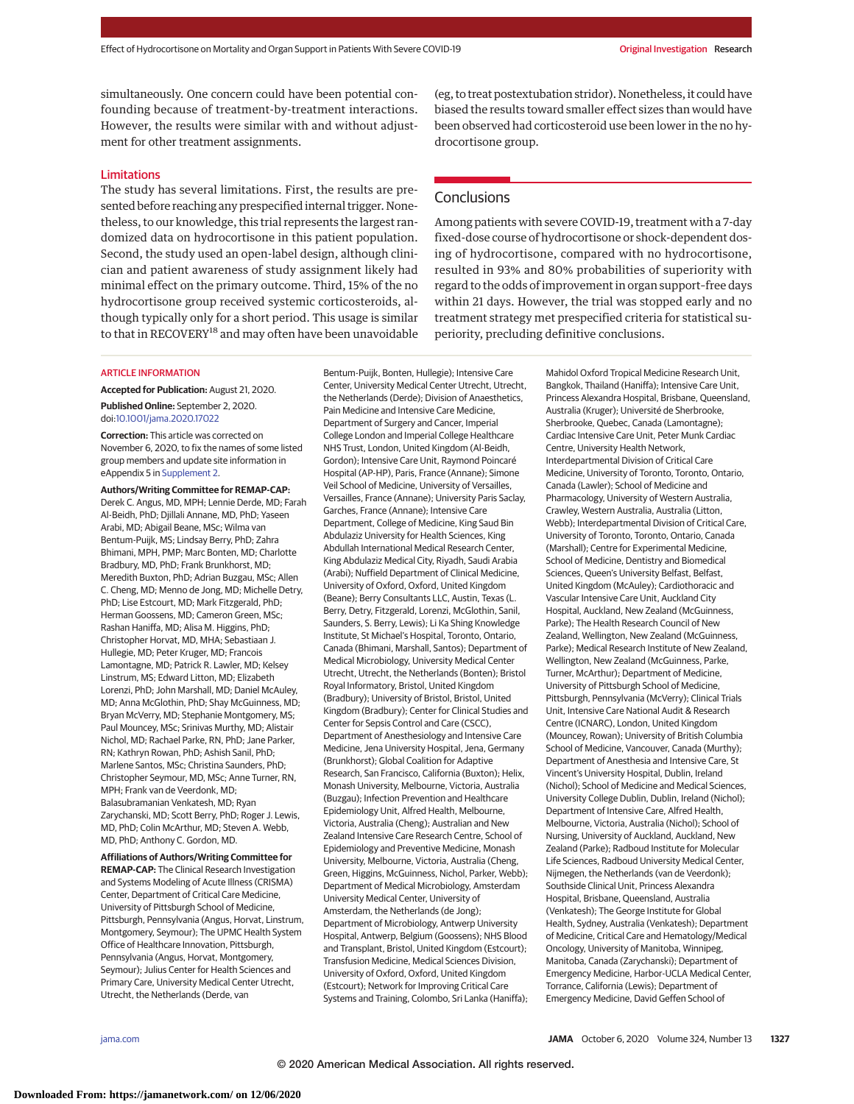simultaneously. One concern could have been potential confounding because of treatment-by-treatment interactions. However, the results were similar with and without adjustment for other treatment assignments.

### Limitations

The study has several limitations. First, the results are presented before reaching any prespecified internal trigger. Nonetheless, to our knowledge, this trial represents the largest randomized data on hydrocortisone in this patient population. Second, the study used an open-label design, although clinician and patient awareness of study assignment likely had minimal effect on the primary outcome. Third, 15% of the no hydrocortisone group received systemic corticosteroids, although typically only for a short period. This usage is similar to that in RECOVERY<sup>18</sup> and may often have been unavoidable

(eg, to treat postextubation stridor). Nonetheless, it could have biased the results toward smaller effect sizes than would have been observed had corticosteroid use been lower in the no hydrocortisone group.

# **Conclusions**

Among patients with severe COVID-19, treatment with a 7-day fixed-dose course of hydrocortisone or shock-dependent dosing of hydrocortisone, compared with no hydrocortisone, resulted in 93% and 80% probabilities of superiority with regard to the odds of improvement in organ support–free days within 21 days. However, the trial was stopped early and no treatment strategy met prespecified criteria for statistical superiority, precluding definitive conclusions.

### ARTICLE INFORMATION

**Accepted for Publication:** August 21, 2020. **Published Online:** September 2, 2020. doi[:10.1001/jama.2020.17022](https://jamanetwork.com/journals/jama/fullarticle/10.1001/jama.2020.17022?utm_campaign=articlePDF%26utm_medium=articlePDFlink%26utm_source=articlePDF%26utm_content=jama.2020.17022)

**Correction:** This article was corrected on November 6, 2020, to fix the names of some listed group members and update site information in eAppendix 5 in [Supplement 2.](https://jamanetwork.com/journals/jama/fullarticle/10.1001/jama.2020.17022?utm_campaign=articlePDF%26utm_medium=articlePDFlink%26utm_source=articlePDF%26utm_content=jama.2020.17022)

**Authors/Writing Committee for REMAP-CAP:** Derek C. Angus, MD, MPH; Lennie Derde, MD; Farah Al-Beidh, PhD; Djillali Annane, MD, PhD; Yaseen Arabi, MD; Abigail Beane, MSc; Wilma van Bentum-Puijk, MS; Lindsay Berry, PhD; Zahra Bhimani, MPH, PMP; Marc Bonten, MD; Charlotte Bradbury, MD, PhD; Frank Brunkhorst, MD; Meredith Buxton, PhD; Adrian Buzgau, MSc; Allen C. Cheng, MD; Menno de Jong, MD; Michelle Detry, PhD; Lise Estcourt, MD; Mark Fitzgerald, PhD; Herman Goossens, MD; Cameron Green, MSc; Rashan Haniffa, MD; Alisa M. Higgins, PhD; Christopher Horvat, MD, MHA; Sebastiaan J. Hullegie, MD; Peter Kruger, MD; Francois Lamontagne, MD; Patrick R. Lawler, MD; Kelsey Linstrum, MS; Edward Litton, MD; Elizabeth Lorenzi, PhD; John Marshall, MD; Daniel McAuley, MD; Anna McGlothin, PhD; Shay McGuinness, MD; Bryan McVerry, MD; Stephanie Montgomery, MS; Paul Mouncey, MSc; Srinivas Murthy, MD; Alistair Nichol, MD; Rachael Parke, RN, PhD; Jane Parker, RN; Kathryn Rowan, PhD; Ashish Sanil, PhD; Marlene Santos, MSc; Christina Saunders, PhD; Christopher Seymour, MD, MSc; Anne Turner, RN, MPH; Frank van de Veerdonk, MD; Balasubramanian Venkatesh, MD; Ryan Zarychanski, MD; Scott Berry, PhD; Roger J. Lewis, MD, PhD; Colin McArthur, MD; Steven A. Webb, MD, PhD; Anthony C. Gordon, MD.

**Affiliations of Authors/Writing Committee for REMAP-CAP:** The Clinical Research Investigation and Systems Modeling of Acute Illness (CRISMA) Center, Department of Critical Care Medicine, University of Pittsburgh School of Medicine, Pittsburgh, Pennsylvania (Angus, Horvat, Linstrum, Montgomery, Seymour); The UPMC Health System Office of Healthcare Innovation, Pittsburgh, Pennsylvania (Angus, Horvat, Montgomery, Seymour); Julius Center for Health Sciences and Primary Care, University Medical Center Utrecht, Utrecht, the Netherlands (Derde, van

Bentum-Puijk, Bonten, Hullegie); Intensive Care Center, University Medical Center Utrecht, Utrecht, the Netherlands (Derde); Division of Anaesthetics, Pain Medicine and Intensive Care Medicine, Department of Surgery and Cancer, Imperial College London and Imperial College Healthcare NHS Trust, London, United Kingdom (Al-Beidh, Gordon); Intensive Care Unit, Raymond Poincaré Hospital (AP-HP), Paris, France (Annane); Simone Veil School of Medicine, University of Versailles, Versailles, France (Annane); University Paris Saclay, Garches, France (Annane); Intensive Care Department, College of Medicine, King Saud Bin Abdulaziz University for Health Sciences, King Abdullah International Medical Research Center, King Abdulaziz Medical City, Riyadh, Saudi Arabia (Arabi); Nuffield Department of Clinical Medicine, University of Oxford, Oxford, United Kingdom (Beane); Berry Consultants LLC, Austin, Texas (L. Berry, Detry, Fitzgerald, Lorenzi, McGlothin, Sanil, Saunders, S. Berry, Lewis); Li Ka Shing Knowledge Institute, St Michael's Hospital, Toronto, Ontario, Canada (Bhimani, Marshall, Santos); Department of Medical Microbiology, University Medical Center Utrecht, Utrecht, the Netherlands (Bonten); Bristol Royal Informatory, Bristol, United Kingdom (Bradbury); University of Bristol, Bristol, United Kingdom (Bradbury); Center for Clinical Studies and Center for Sepsis Control and Care (CSCC), Department of Anesthesiology and Intensive Care Medicine, Jena University Hospital, Jena, Germany (Brunkhorst); Global Coalition for Adaptive Research, San Francisco, California (Buxton); Helix, Monash University, Melbourne, Victoria, Australia (Buzgau); Infection Prevention and Healthcare Epidemiology Unit, Alfred Health, Melbourne, Victoria, Australia (Cheng); Australian and New Zealand Intensive Care Research Centre, School of Epidemiology and Preventive Medicine, Monash University, Melbourne, Victoria, Australia (Cheng, Green, Higgins, McGuinness, Nichol, Parker, Webb); Department of Medical Microbiology, Amsterdam University Medical Center, University of Amsterdam, the Netherlands (de Jong); Department of Microbiology, Antwerp University Hospital, Antwerp, Belgium (Goossens); NHS Blood and Transplant, Bristol, United Kingdom (Estcourt); Transfusion Medicine, Medical Sciences Division, University of Oxford, Oxford, United Kingdom (Estcourt); Network for Improving Critical Care Systems and Training, Colombo, Sri Lanka (Haniffa);

Mahidol Oxford Tropical Medicine Research Unit, Bangkok, Thailand (Haniffa); Intensive Care Unit, Princess Alexandra Hospital, Brisbane, Queensland, Australia (Kruger); Université de Sherbrooke, Sherbrooke, Quebec, Canada (Lamontagne); Cardiac Intensive Care Unit, Peter Munk Cardiac Centre, University Health Network, Interdepartmental Division of Critical Care Medicine, University of Toronto, Toronto, Ontario, Canada (Lawler); School of Medicine and Pharmacology, University of Western Australia, Crawley, Western Australia, Australia (Litton, Webb); Interdepartmental Division of Critical Care, University of Toronto, Toronto, Ontario, Canada (Marshall); Centre for Experimental Medicine, School of Medicine, Dentistry and Biomedical Sciences, Queen's University Belfast, Belfast, United Kingdom (McAuley); Cardiothoracic and Vascular Intensive Care Unit, Auckland City Hospital, Auckland, New Zealand (McGuinness, Parke); The Health Research Council of New Zealand, Wellington, New Zealand (McGuinness, Parke); Medical Research Institute of New Zealand, Wellington, New Zealand (McGuinness, Parke, Turner, McArthur); Department of Medicine, University of Pittsburgh School of Medicine, Pittsburgh, Pennsylvania (McVerry); Clinical Trials Unit, Intensive Care National Audit & Research Centre (ICNARC), London, United Kingdom (Mouncey, Rowan); University of British Columbia School of Medicine, Vancouver, Canada (Murthy); Department of Anesthesia and Intensive Care, St Vincent's University Hospital, Dublin, Ireland (Nichol); School of Medicine and Medical Sciences, University College Dublin, Dublin, Ireland (Nichol); Department of Intensive Care, Alfred Health, Melbourne, Victoria, Australia (Nichol); School of Nursing, University of Auckland, Auckland, New Zealand (Parke); Radboud Institute for Molecular Life Sciences, Radboud University Medical Center, Nijmegen, the Netherlands (van de Veerdonk); Southside Clinical Unit, Princess Alexandra Hospital, Brisbane, Queensland, Australia (Venkatesh); The George Institute for Global Health, Sydney, Australia (Venkatesh); Department of Medicine, Critical Care and Hematology/Medical Oncology, University of Manitoba, Winnipeg, Manitoba, Canada (Zarychanski); Department of Emergency Medicine, Harbor-UCLA Medical Center, Torrance, California (Lewis); Department of Emergency Medicine, David Geffen School of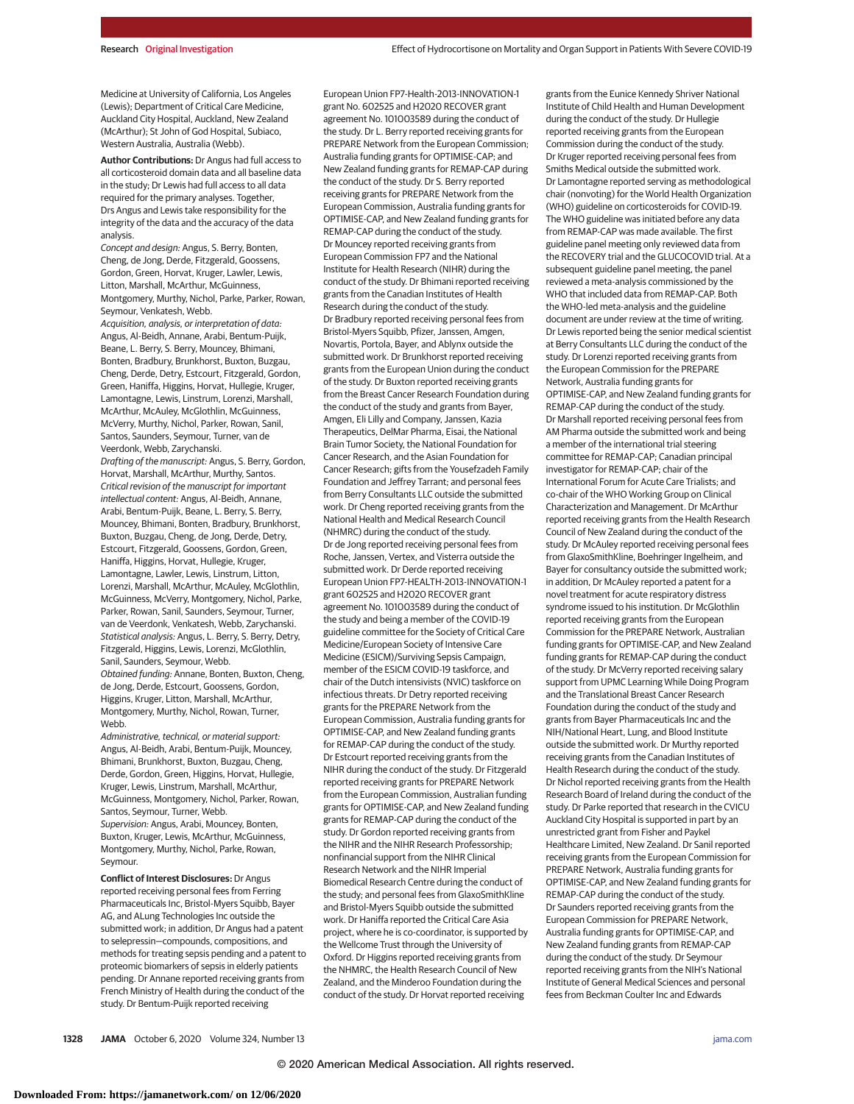Medicine at University of California, Los Angeles (Lewis); Department of Critical Care Medicine, Auckland City Hospital, Auckland, New Zealand (McArthur); St John of God Hospital, Subiaco, Western Australia, Australia (Webb).

**Author Contributions:** Dr Angus had full access to all corticosteroid domain data and all baseline data in the study; Dr Lewis had full access to all data required for the primary analyses. Together, Drs Angus and Lewis take responsibility for the integrity of the data and the accuracy of the data analysis.

Concept and design: Angus, S. Berry, Bonten, Cheng, de Jong, Derde, Fitzgerald, Goossens, Gordon, Green, Horvat, Kruger, Lawler, Lewis, Litton, Marshall, McArthur, McGuinness, Montgomery, Murthy, Nichol, Parke, Parker, Rowan, Seymour, Venkatesh, Webb.

Acquisition, analysis, or interpretation of data: Angus, Al-Beidh, Annane, Arabi, Bentum-Puijk, Beane, L. Berry, S. Berry, Mouncey, Bhimani, Bonten, Bradbury, Brunkhorst, Buxton, Buzgau, Cheng, Derde, Detry, Estcourt, Fitzgerald, Gordon, Green, Haniffa, Higgins, Horvat, Hullegie, Kruger, Lamontagne, Lewis, Linstrum, Lorenzi, Marshall, McArthur, McAuley, McGlothlin, McGuinness, McVerry, Murthy, Nichol, Parker, Rowan, Sanil, Santos, Saunders, Seymour, Turner, van de Veerdonk, Webb, Zarychanski.

Drafting of the manuscript: Angus, S. Berry, Gordon, Horvat, Marshall, McArthur, Murthy, Santos. Critical revision of the manuscript for important intellectual content: Angus, Al-Beidh, Annane, Arabi, Bentum-Puijk, Beane, L. Berry, S. Berry, Mouncey, Bhimani, Bonten, Bradbury, Brunkhorst, Buxton, Buzgau, Cheng, de Jong, Derde, Detry, Estcourt, Fitzgerald, Goossens, Gordon, Green, Haniffa, Higgins, Horvat, Hullegie, Kruger, Lamontagne, Lawler, Lewis, Linstrum, Litton, Lorenzi, Marshall, McArthur, McAuley, McGlothlin, McGuinness, McVerry, Montgomery, Nichol, Parke, Parker, Rowan, Sanil, Saunders, Seymour, Turner, van de Veerdonk, Venkatesh, Webb, Zarychanski. Statistical analysis: Angus, L. Berry, S. Berry, Detry, Fitzgerald, Higgins, Lewis, Lorenzi, McGlothlin, Sanil, Saunders, Seymour, Webb. Obtained funding: Annane, Bonten, Buxton, Cheng, de Jong, Derde, Estcourt, Goossens, Gordon, Higgins, Kruger, Litton, Marshall, McArthur, Montgomery, Murthy, Nichol, Rowan, Turner, Webb.

Administrative, technical, or material support: Angus, Al-Beidh, Arabi, Bentum-Puijk, Mouncey, Bhimani, Brunkhorst, Buxton, Buzgau, Cheng, Derde, Gordon, Green, Higgins, Horvat, Hullegie, Kruger, Lewis, Linstrum, Marshall, McArthur, McGuinness, Montgomery, Nichol, Parker, Rowan, Santos, Seymour, Turner, Webb. Supervision: Angus, Arabi, Mouncey, Bonten, Buxton, Kruger, Lewis, McArthur, McGuinness, Montgomery, Murthy, Nichol, Parke, Rowan, Seymour.

**Conflict of Interest Disclosures:** Dr Angus reported receiving personal fees from Ferring Pharmaceuticals Inc, Bristol-Myers Squibb, Bayer AG, and ALung Technologies Inc outside the submitted work; in addition, Dr Angus had a patent to selepressin—compounds, compositions, and methods for treating sepsis pending and a patent to proteomic biomarkers of sepsis in elderly patients pending. Dr Annane reported receiving grants from French Ministry of Health during the conduct of the study. Dr Bentum-Puijk reported receiving

European Union FP7-Health-2013-INNOVATION-1 grant No. 602525 and H2020 RECOVER grant agreement No. 101003589 during the conduct of the study. Dr L. Berry reported receiving grants for PREPARE Network from the European Commission; Australia funding grants for OPTIMISE-CAP; and New Zealand funding grants for REMAP-CAP during the conduct of the study. Dr S. Berry reported receiving grants for PREPARE Network from the European Commission, Australia funding grants for OPTIMISE-CAP, and New Zealand funding grants for REMAP-CAP during the conduct of the study. Dr Mouncey reported receiving grants from European Commission FP7 and the National Institute for Health Research (NIHR) during the conduct of the study. Dr Bhimani reported receiving grants from the Canadian Institutes of Health Research during the conduct of the study. Dr Bradbury reported receiving personal fees from Bristol-Myers Squibb, Pfizer, Janssen, Amgen, Novartis, Portola, Bayer, and Ablynx outside the submitted work. Dr Brunkhorst reported receiving grants from the European Union during the conduct of the study. Dr Buxton reported receiving grants from the Breast Cancer Research Foundation during the conduct of the study and grants from Bayer, Amgen, Eli Lilly and Company, Janssen, Kazia Therapeutics, DelMar Pharma, Eisai, the National Brain Tumor Society, the National Foundation for Cancer Research, and the Asian Foundation for Cancer Research; gifts from the Yousefzadeh Family Foundation and Jeffrey Tarrant; and personal fees from Berry Consultants LLC outside the submitted work. Dr Cheng reported receiving grants from the National Health and Medical Research Council (NHMRC) during the conduct of the study. Dr de Jong reported receiving personal fees from Roche, Janssen, Vertex, and Visterra outside the submitted work. Dr Derde reported receiving European Union FP7-HEALTH-2013-INNOVATION-1 grant 602525 and H2020 RECOVER grant agreement No. 101003589 during the conduct of the study and being a member of the COVID-19 guideline committee for the Society of Critical Care Medicine/European Society of Intensive Care Medicine (ESICM)/Surviving Sepsis Campaign, member of the ESICM COVID-19 taskforce, and chair of the Dutch intensivists (NVIC) taskforce on infectious threats. Dr Detry reported receiving grants for the PREPARE Network from the European Commission, Australia funding grants for OPTIMISE-CAP, and New Zealand funding grants for REMAP-CAP during the conduct of the study. Dr Estcourt reported receiving grants from the NIHR during the conduct of the study. Dr Fitzgerald reported receiving grants for PREPARE Network from the European Commission, Australian funding grants for OPTIMISE-CAP, and New Zealand funding grants for REMAP-CAP during the conduct of the study. Dr Gordon reported receiving grants from the NIHR and the NIHR Research Professorship; nonfinancial support from the NIHR Clinical Research Network and the NIHR Imperial Biomedical Research Centre during the conduct of the study; and personal fees from GlaxoSmithKline and Bristol-Myers Squibb outside the submitted work. Dr Haniffa reported the Critical Care Asia project, where he is co-coordinator, is supported by the Wellcome Trust through the University of Oxford. Dr Higgins reported receiving grants from the NHMRC, the Health Research Council of New Zealand, and the Minderoo Foundation during the conduct of the study. Dr Horvat reported receiving

grants from the Eunice Kennedy Shriver National Institute of Child Health and Human Development during the conduct of the study. Dr Hullegie reported receiving grants from the European Commission during the conduct of the study. Dr Kruger reported receiving personal fees from Smiths Medical outside the submitted work. Dr Lamontagne reported serving as methodological chair (nonvoting) for the World Health Organization (WHO) guideline on corticosteroids for COVID-19. The WHO guideline was initiated before any data from REMAP-CAP was made available. The first guideline panel meeting only reviewed data from the RECOVERY trial and the GLUCOCOVID trial. At a subsequent guideline panel meeting, the panel reviewed a meta-analysis commissioned by the WHO that included data from REMAP-CAP. Both the WHO-led meta-analysis and the guideline document are under review at the time of writing. Dr Lewis reported being the senior medical scientist at Berry Consultants LLC during the conduct of the study. Dr Lorenzi reported receiving grants from the European Commission for the PREPARE Network, Australia funding grants for OPTIMISE-CAP, and New Zealand funding grants for REMAP-CAP during the conduct of the study. Dr Marshall reported receiving personal fees from AM Pharma outside the submitted work and being a member of the international trial steering committee for REMAP-CAP; Canadian principal investigator for REMAP-CAP; chair of the International Forum for Acute Care Trialists; and co-chair of the WHO Working Group on Clinical Characterization and Management. Dr McArthur reported receiving grants from the Health Research Council of New Zealand during the conduct of the study. Dr McAuley reported receiving personal fees from GlaxoSmithKline, Boehringer Ingelheim, and Bayer for consultancy outside the submitted work; in addition, Dr McAuley reported a patent for a novel treatment for acute respiratory distress syndrome issued to his institution. Dr McGlothlin reported receiving grants from the European Commission for the PREPARE Network, Australian funding grants for OPTIMISE-CAP, and New Zealand funding grants for REMAP-CAP during the conduct of the study. Dr McVerry reported receiving salary support from UPMC Learning While Doing Program and the Translational Breast Cancer Research Foundation during the conduct of the study and grants from Bayer Pharmaceuticals Inc and the NIH/National Heart, Lung, and Blood Institute outside the submitted work. Dr Murthy reported receiving grants from the Canadian Institutes of Health Research during the conduct of the study. Dr Nichol reported receiving grants from the Health Research Board of Ireland during the conduct of the study. Dr Parke reported that research in the CVICU Auckland City Hospital is supported in part by an unrestricted grant from Fisher and Paykel Healthcare Limited, New Zealand. Dr Sanil reported receiving grants from the European Commission for PREPARE Network, Australia funding grants for OPTIMISE-CAP, and New Zealand funding grants for REMAP-CAP during the conduct of the study. Dr Saunders reported receiving grants from the European Commission for PREPARE Network, Australia funding grants for OPTIMISE-CAP, and New Zealand funding grants from REMAP-CAP during the conduct of the study. Dr Seymour reported receiving grants from the NIH's National Institute of General Medical Sciences and personal fees from Beckman Coulter Inc and Edwards